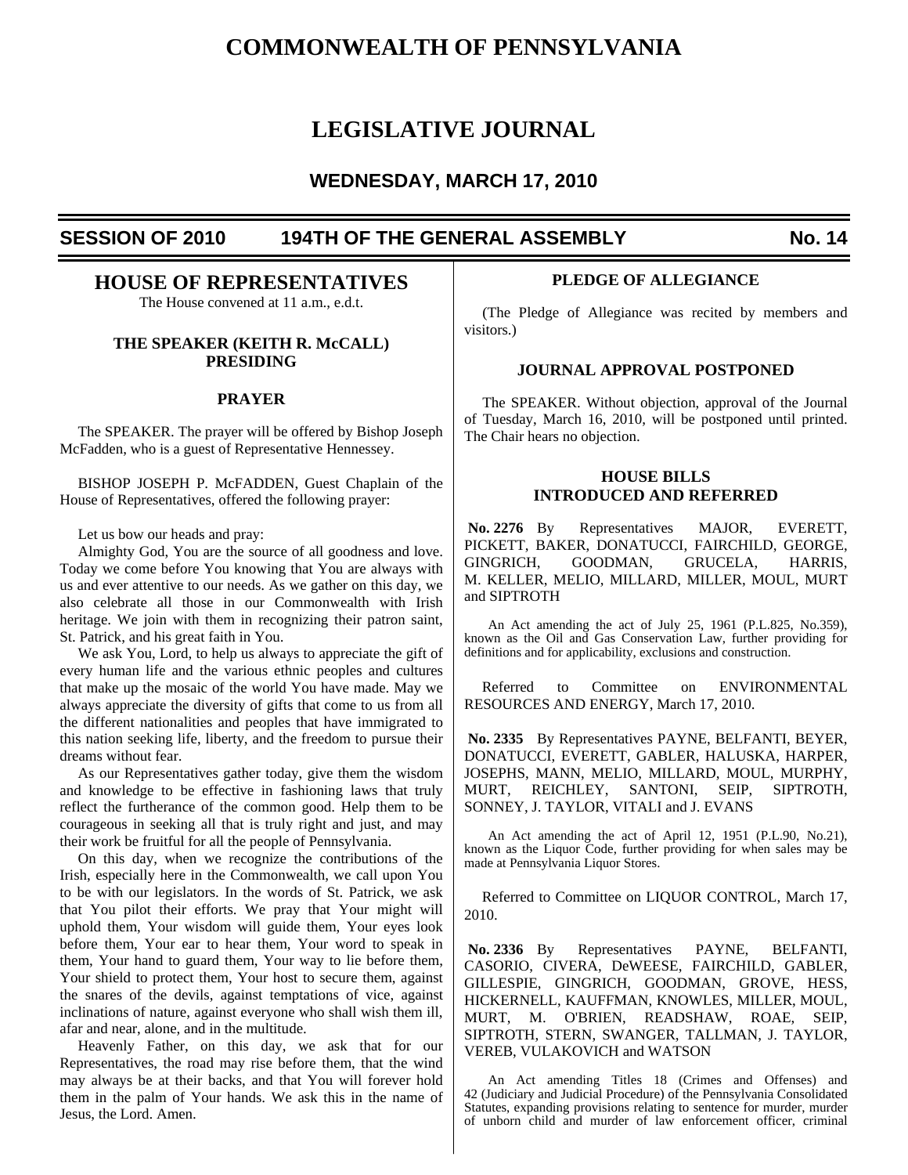# **COMMONWEALTH OF PENNSYLVANIA**

# **LEGISLATIVE JOURNAL**

# **WEDNESDAY, MARCH 17, 2010**

# SESSION OF 2010 194TH OF THE GENERAL ASSEMBLY No. 14

# **HOUSE OF REPRESENTATIVES**

The House convened at 11 a.m., e.d.t.

# **THE SPEAKER (KEITH R. McCALL) PRESIDING**

# **PRAYER**

 The SPEAKER. The prayer will be offered by Bishop Joseph McFadden, who is a guest of Representative Hennessey.

 BISHOP JOSEPH P. McFADDEN, Guest Chaplain of the House of Representatives, offered the following prayer:

Let us bow our heads and pray:

 Almighty God, You are the source of all goodness and love. Today we come before You knowing that You are always with us and ever attentive to our needs. As we gather on this day, we also celebrate all those in our Commonwealth with Irish heritage. We join with them in recognizing their patron saint, St. Patrick, and his great faith in You.

 We ask You, Lord, to help us always to appreciate the gift of every human life and the various ethnic peoples and cultures that make up the mosaic of the world You have made. May we always appreciate the diversity of gifts that come to us from all the different nationalities and peoples that have immigrated to this nation seeking life, liberty, and the freedom to pursue their dreams without fear.

 As our Representatives gather today, give them the wisdom and knowledge to be effective in fashioning laws that truly reflect the furtherance of the common good. Help them to be courageous in seeking all that is truly right and just, and may their work be fruitful for all the people of Pennsylvania.

 On this day, when we recognize the contributions of the Irish, especially here in the Commonwealth, we call upon You to be with our legislators. In the words of St. Patrick, we ask that You pilot their efforts. We pray that Your might will uphold them, Your wisdom will guide them, Your eyes look before them, Your ear to hear them, Your word to speak in them, Your hand to guard them, Your way to lie before them, Your shield to protect them, Your host to secure them, against the snares of the devils, against temptations of vice, against inclinations of nature, against everyone who shall wish them ill, afar and near, alone, and in the multitude.

 Heavenly Father, on this day, we ask that for our Representatives, the road may rise before them, that the wind may always be at their backs, and that You will forever hold them in the palm of Your hands. We ask this in the name of Jesus, the Lord. Amen.

# **PLEDGE OF ALLEGIANCE**

 (The Pledge of Allegiance was recited by members and visitors.)

# **JOURNAL APPROVAL POSTPONED**

 The SPEAKER. Without objection, approval of the Journal of Tuesday, March 16, 2010, will be postponed until printed. The Chair hears no objection.

# **HOUSE BILLS INTRODUCED AND REFERRED**

 **No. 2276** By Representatives MAJOR, EVERETT, PICKETT, BAKER, DONATUCCI, FAIRCHILD, GEORGE, GINGRICH, GOODMAN, GRUCELA, HARRIS, M. KELLER, MELIO, MILLARD, MILLER, MOUL, MURT and SIPTROTH

An Act amending the act of July 25, 1961 (P.L.825, No.359), known as the Oil and Gas Conservation Law, further providing for definitions and for applicability, exclusions and construction.

Referred to Committee on ENVIRONMENTAL RESOURCES AND ENERGY, March 17, 2010.

 **No. 2335** By Representatives PAYNE, BELFANTI, BEYER, DONATUCCI, EVERETT, GABLER, HALUSKA, HARPER, JOSEPHS, MANN, MELIO, MILLARD, MOUL, MURPHY, MURT, REICHLEY, SANTONI, SEIP, SIPTROTH, SONNEY, J. TAYLOR, VITALI and J. EVANS

An Act amending the act of April 12, 1951 (P.L.90, No.21), known as the Liquor Code, further providing for when sales may be made at Pennsylvania Liquor Stores.

Referred to Committee on LIQUOR CONTROL, March 17, 2010.

 **No. 2336** By Representatives PAYNE, BELFANTI, CASORIO, CIVERA, DeWEESE, FAIRCHILD, GABLER, GILLESPIE, GINGRICH, GOODMAN, GROVE, HESS, HICKERNELL, KAUFFMAN, KNOWLES, MILLER, MOUL, MURT, M. O'BRIEN, READSHAW, ROAE, SEIP, SIPTROTH, STERN, SWANGER, TALLMAN, J. TAYLOR, VEREB, VULAKOVICH and WATSON

An Act amending Titles 18 (Crimes and Offenses) and 42 (Judiciary and Judicial Procedure) of the Pennsylvania Consolidated Statutes, expanding provisions relating to sentence for murder, murder of unborn child and murder of law enforcement officer, criminal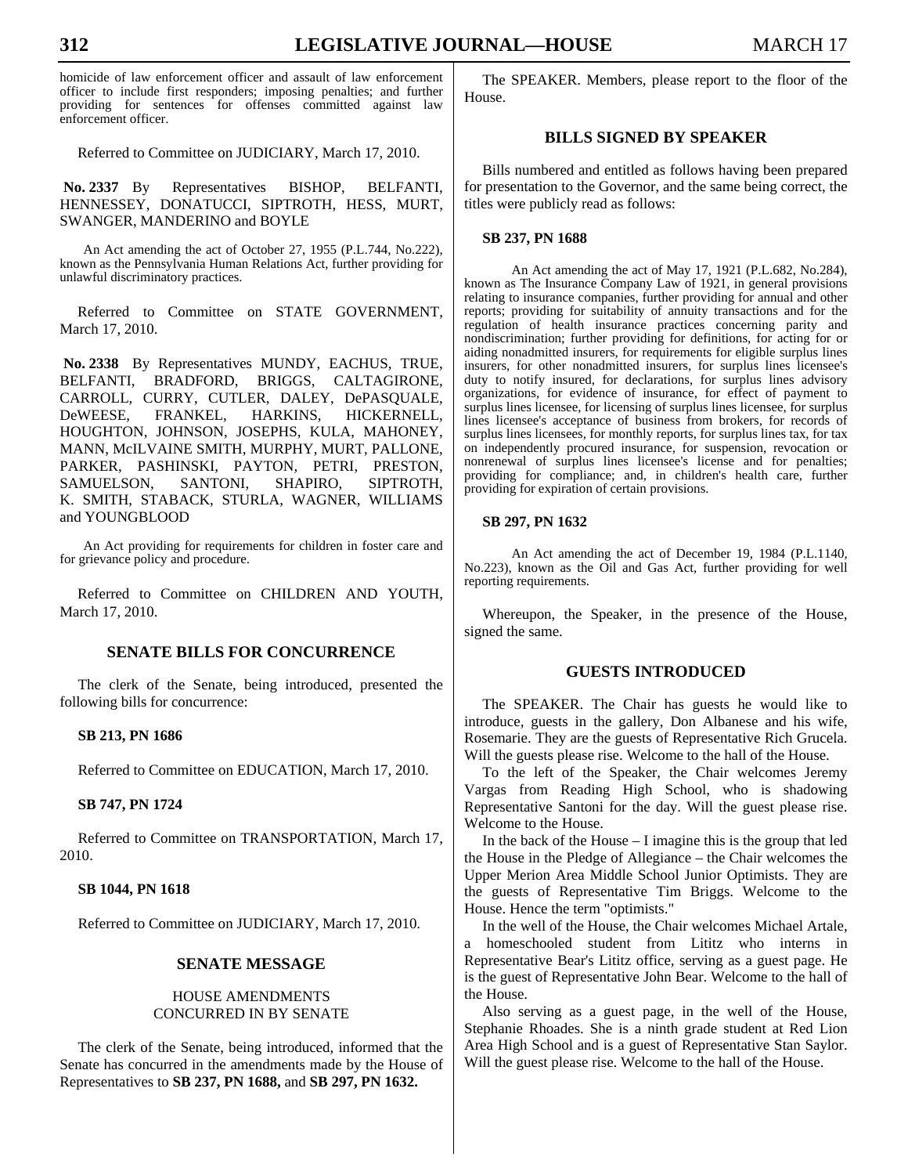homicide of law enforcement officer and assault of law enforcement officer to include first responders; imposing penalties; and further providing for sentences for offenses committed against law enforcement officer.

Referred to Committee on JUDICIARY, March 17, 2010.

 **No. 2337** By Representatives BISHOP, BELFANTI, HENNESSEY, DONATUCCI, SIPTROTH, HESS, MURT, SWANGER, MANDERINO and BOYLE

An Act amending the act of October 27, 1955 (P.L.744, No.222), known as the Pennsylvania Human Relations Act, further providing for unlawful discriminatory practices.

Referred to Committee on STATE GOVERNMENT, March 17, 2010.

 **No. 2338** By Representatives MUNDY, EACHUS, TRUE, BELFANTI, BRADFORD, BRIGGS, CALTAGIRONE, CARROLL, CURRY, CUTLER, DALEY, DePASQUALE, DeWEESE, FRANKEL, HARKINS, HICKERNELL, HOUGHTON, JOHNSON, JOSEPHS, KULA, MAHONEY, MANN, McILVAINE SMITH, MURPHY, MURT, PALLONE, PARKER, PASHINSKI, PAYTON, PETRI, PRESTON, SAMUELSON, SANTONI, SHAPIRO, SIPTROTH, K. SMITH, STABACK, STURLA, WAGNER, WILLIAMS and YOUNGBLOOD

An Act providing for requirements for children in foster care and for grievance policy and procedure.

Referred to Committee on CHILDREN AND YOUTH, March 17, 2010.

# **SENATE BILLS FOR CONCURRENCE**

 The clerk of the Senate, being introduced, presented the following bills for concurrence:

#### **SB 213, PN 1686**

Referred to Committee on EDUCATION, March 17, 2010.

## **SB 747, PN 1724**

 Referred to Committee on TRANSPORTATION, March 17, 2010.

# **SB 1044, PN 1618**

Referred to Committee on JUDICIARY, March 17, 2010.

# **SENATE MESSAGE**

# HOUSE AMENDMENTS CONCURRED IN BY SENATE

 The clerk of the Senate, being introduced, informed that the Senate has concurred in the amendments made by the House of Representatives to **SB 237, PN 1688,** and **SB 297, PN 1632.**

 The SPEAKER. Members, please report to the floor of the House.

# **BILLS SIGNED BY SPEAKER**

 Bills numbered and entitled as follows having been prepared for presentation to the Governor, and the same being correct, the titles were publicly read as follows:

#### **SB 237, PN 1688**

 An Act amending the act of May 17, 1921 (P.L.682, No.284), known as The Insurance Company Law of 1921, in general provisions relating to insurance companies, further providing for annual and other reports; providing for suitability of annuity transactions and for the regulation of health insurance practices concerning parity and nondiscrimination; further providing for definitions, for acting for or aiding nonadmitted insurers, for requirements for eligible surplus lines insurers, for other nonadmitted insurers, for surplus lines licensee's duty to notify insured, for declarations, for surplus lines advisory organizations, for evidence of insurance, for effect of payment to surplus lines licensee, for licensing of surplus lines licensee, for surplus lines licensee's acceptance of business from brokers, for records of surplus lines licensees, for monthly reports, for surplus lines tax, for tax on independently procured insurance, for suspension, revocation or nonrenewal of surplus lines licensee's license and for penalties; providing for compliance; and, in children's health care, further providing for expiration of certain provisions.

#### **SB 297, PN 1632**

 An Act amending the act of December 19, 1984 (P.L.1140, No.223), known as the Oil and Gas Act, further providing for well reporting requirements.

 Whereupon, the Speaker, in the presence of the House, signed the same.

## **GUESTS INTRODUCED**

 The SPEAKER. The Chair has guests he would like to introduce, guests in the gallery, Don Albanese and his wife, Rosemarie. They are the guests of Representative Rich Grucela. Will the guests please rise. Welcome to the hall of the House.

 To the left of the Speaker, the Chair welcomes Jeremy Vargas from Reading High School, who is shadowing Representative Santoni for the day. Will the guest please rise. Welcome to the House.

 In the back of the House – I imagine this is the group that led the House in the Pledge of Allegiance – the Chair welcomes the Upper Merion Area Middle School Junior Optimists. They are the guests of Representative Tim Briggs. Welcome to the House. Hence the term "optimists."

 In the well of the House, the Chair welcomes Michael Artale, a homeschooled student from Lititz who interns in Representative Bear's Lititz office, serving as a guest page. He is the guest of Representative John Bear. Welcome to the hall of the House.

 Also serving as a guest page, in the well of the House, Stephanie Rhoades. She is a ninth grade student at Red Lion Area High School and is a guest of Representative Stan Saylor. Will the guest please rise. Welcome to the hall of the House.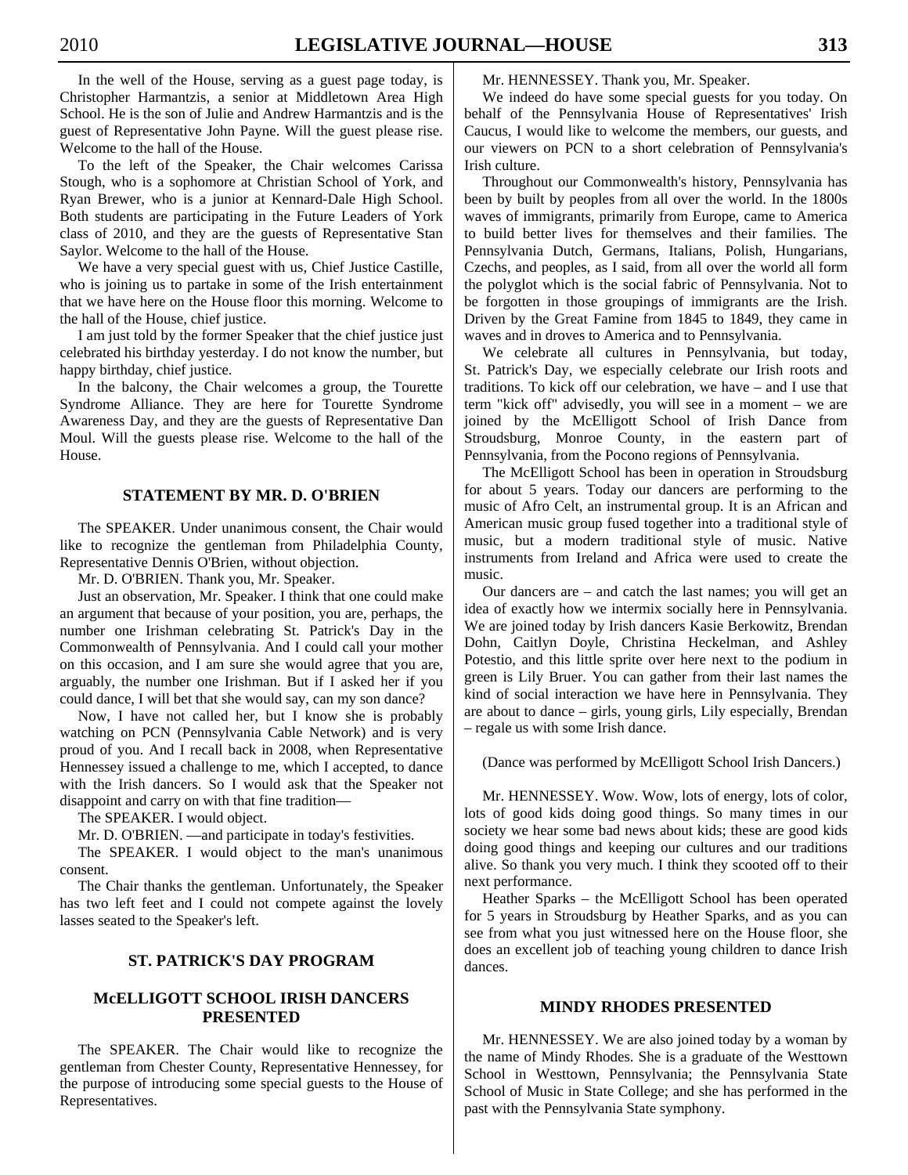In the well of the House, serving as a guest page today, is Christopher Harmantzis, a senior at Middletown Area High School. He is the son of Julie and Andrew Harmantzis and is the guest of Representative John Payne. Will the guest please rise. Welcome to the hall of the House.

 To the left of the Speaker, the Chair welcomes Carissa Stough, who is a sophomore at Christian School of York, and Ryan Brewer, who is a junior at Kennard-Dale High School. Both students are participating in the Future Leaders of York class of 2010, and they are the guests of Representative Stan Saylor. Welcome to the hall of the House.

 We have a very special guest with us, Chief Justice Castille, who is joining us to partake in some of the Irish entertainment that we have here on the House floor this morning. Welcome to the hall of the House, chief justice.

 I am just told by the former Speaker that the chief justice just celebrated his birthday yesterday. I do not know the number, but happy birthday, chief justice.

 In the balcony, the Chair welcomes a group, the Tourette Syndrome Alliance. They are here for Tourette Syndrome Awareness Day, and they are the guests of Representative Dan Moul. Will the guests please rise. Welcome to the hall of the House.

# **STATEMENT BY MR. D. O'BRIEN**

 The SPEAKER. Under unanimous consent, the Chair would like to recognize the gentleman from Philadelphia County, Representative Dennis O'Brien, without objection.

Mr. D. O'BRIEN. Thank you, Mr. Speaker.

 Just an observation, Mr. Speaker. I think that one could make an argument that because of your position, you are, perhaps, the number one Irishman celebrating St. Patrick's Day in the Commonwealth of Pennsylvania. And I could call your mother on this occasion, and I am sure she would agree that you are, arguably, the number one Irishman. But if I asked her if you could dance, I will bet that she would say, can my son dance?

 Now, I have not called her, but I know she is probably watching on PCN (Pennsylvania Cable Network) and is very proud of you. And I recall back in 2008, when Representative Hennessey issued a challenge to me, which I accepted, to dance with the Irish dancers. So I would ask that the Speaker not disappoint and carry on with that fine tradition—

The SPEAKER. I would object.

Mr. D. O'BRIEN. —and participate in today's festivities.

 The SPEAKER. I would object to the man's unanimous consent.

 The Chair thanks the gentleman. Unfortunately, the Speaker has two left feet and I could not compete against the lovely lasses seated to the Speaker's left.

# **ST. PATRICK'S DAY PROGRAM**

# **McELLIGOTT SCHOOL IRISH DANCERS PRESENTED**

 The SPEAKER. The Chair would like to recognize the gentleman from Chester County, Representative Hennessey, for the purpose of introducing some special guests to the House of Representatives.

Mr. HENNESSEY. Thank you, Mr. Speaker.

 We indeed do have some special guests for you today. On behalf of the Pennsylvania House of Representatives' Irish Caucus, I would like to welcome the members, our guests, and our viewers on PCN to a short celebration of Pennsylvania's Irish culture.

 Throughout our Commonwealth's history, Pennsylvania has been by built by peoples from all over the world. In the 1800s waves of immigrants, primarily from Europe, came to America to build better lives for themselves and their families. The Pennsylvania Dutch, Germans, Italians, Polish, Hungarians, Czechs, and peoples, as I said, from all over the world all form the polyglot which is the social fabric of Pennsylvania. Not to be forgotten in those groupings of immigrants are the Irish. Driven by the Great Famine from 1845 to 1849, they came in waves and in droves to America and to Pennsylvania.

 We celebrate all cultures in Pennsylvania, but today, St. Patrick's Day, we especially celebrate our Irish roots and traditions. To kick off our celebration, we have – and I use that term "kick off" advisedly, you will see in a moment – we are joined by the McElligott School of Irish Dance from Stroudsburg, Monroe County, in the eastern part of Pennsylvania, from the Pocono regions of Pennsylvania.

 The McElligott School has been in operation in Stroudsburg for about 5 years. Today our dancers are performing to the music of Afro Celt, an instrumental group. It is an African and American music group fused together into a traditional style of music, but a modern traditional style of music. Native instruments from Ireland and Africa were used to create the music.

 Our dancers are – and catch the last names; you will get an idea of exactly how we intermix socially here in Pennsylvania. We are joined today by Irish dancers Kasie Berkowitz, Brendan Dohn, Caitlyn Doyle, Christina Heckelman, and Ashley Potestio, and this little sprite over here next to the podium in green is Lily Bruer. You can gather from their last names the kind of social interaction we have here in Pennsylvania. They are about to dance – girls, young girls, Lily especially, Brendan – regale us with some Irish dance.

(Dance was performed by McElligott School Irish Dancers.)

 Mr. HENNESSEY. Wow. Wow, lots of energy, lots of color, lots of good kids doing good things. So many times in our society we hear some bad news about kids; these are good kids doing good things and keeping our cultures and our traditions alive. So thank you very much. I think they scooted off to their next performance.

 Heather Sparks – the McElligott School has been operated for 5 years in Stroudsburg by Heather Sparks, and as you can see from what you just witnessed here on the House floor, she does an excellent job of teaching young children to dance Irish dances.

## **MINDY RHODES PRESENTED**

 Mr. HENNESSEY. We are also joined today by a woman by the name of Mindy Rhodes. She is a graduate of the Westtown School in Westtown, Pennsylvania; the Pennsylvania State School of Music in State College; and she has performed in the past with the Pennsylvania State symphony.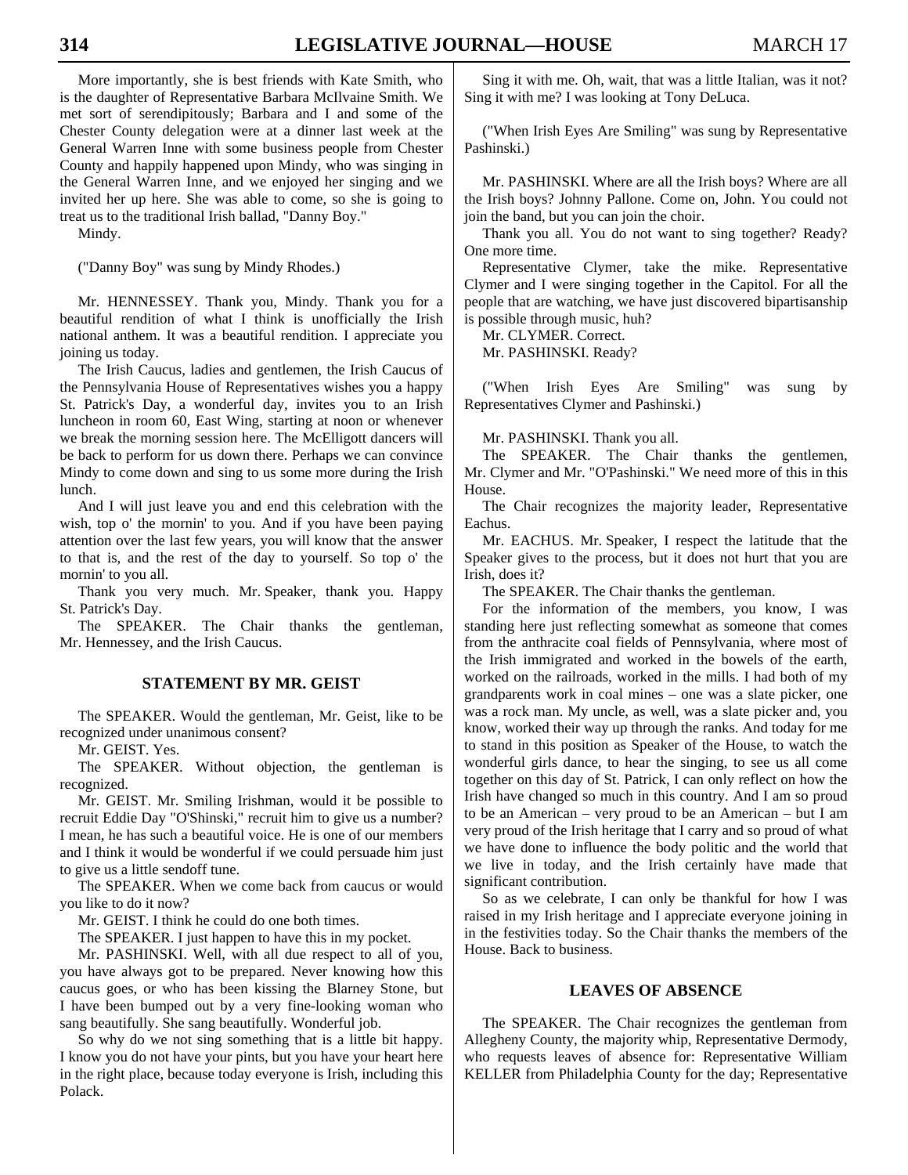More importantly, she is best friends with Kate Smith, who is the daughter of Representative Barbara McIlvaine Smith. We met sort of serendipitously; Barbara and I and some of the Chester County delegation were at a dinner last week at the General Warren Inne with some business people from Chester County and happily happened upon Mindy, who was singing in the General Warren Inne, and we enjoyed her singing and we invited her up here. She was able to come, so she is going to treat us to the traditional Irish ballad, "Danny Boy."

Mindy.

("Danny Boy" was sung by Mindy Rhodes.)

 Mr. HENNESSEY. Thank you, Mindy. Thank you for a beautiful rendition of what I think is unofficially the Irish national anthem. It was a beautiful rendition. I appreciate you joining us today.

 The Irish Caucus, ladies and gentlemen, the Irish Caucus of the Pennsylvania House of Representatives wishes you a happy St. Patrick's Day, a wonderful day, invites you to an Irish luncheon in room 60, East Wing, starting at noon or whenever we break the morning session here. The McElligott dancers will be back to perform for us down there. Perhaps we can convince Mindy to come down and sing to us some more during the Irish lunch.

 And I will just leave you and end this celebration with the wish, top o' the mornin' to you. And if you have been paying attention over the last few years, you will know that the answer to that is, and the rest of the day to yourself. So top o' the mornin' to you all.

 Thank you very much. Mr. Speaker, thank you. Happy St. Patrick's Day.

 The SPEAKER. The Chair thanks the gentleman, Mr. Hennessey, and the Irish Caucus.

# **STATEMENT BY MR. GEIST**

 The SPEAKER. Would the gentleman, Mr. Geist, like to be recognized under unanimous consent?

Mr. GEIST. Yes.

 The SPEAKER. Without objection, the gentleman is recognized.

 Mr. GEIST. Mr. Smiling Irishman, would it be possible to recruit Eddie Day "O'Shinski," recruit him to give us a number? I mean, he has such a beautiful voice. He is one of our members and I think it would be wonderful if we could persuade him just to give us a little sendoff tune.

 The SPEAKER. When we come back from caucus or would you like to do it now?

Mr. GEIST. I think he could do one both times.

The SPEAKER. I just happen to have this in my pocket.

 Mr. PASHINSKI. Well, with all due respect to all of you, you have always got to be prepared. Never knowing how this caucus goes, or who has been kissing the Blarney Stone, but I have been bumped out by a very fine-looking woman who sang beautifully. She sang beautifully. Wonderful job.

 So why do we not sing something that is a little bit happy. I know you do not have your pints, but you have your heart here in the right place, because today everyone is Irish, including this Polack.

 Sing it with me. Oh, wait, that was a little Italian, was it not? Sing it with me? I was looking at Tony DeLuca.

 ("When Irish Eyes Are Smiling" was sung by Representative Pashinski.)

 Mr. PASHINSKI. Where are all the Irish boys? Where are all the Irish boys? Johnny Pallone. Come on, John. You could not join the band, but you can join the choir.

 Thank you all. You do not want to sing together? Ready? One more time.

 Representative Clymer, take the mike. Representative Clymer and I were singing together in the Capitol. For all the people that are watching, we have just discovered bipartisanship is possible through music, huh?

Mr. CLYMER. Correct.

Mr. PASHINSKI. Ready?

 ("When Irish Eyes Are Smiling" was sung by Representatives Clymer and Pashinski.)

Mr. PASHINSKI. Thank you all.

 The SPEAKER. The Chair thanks the gentlemen, Mr. Clymer and Mr. "O'Pashinski." We need more of this in this House.

 The Chair recognizes the majority leader, Representative Eachus.

 Mr. EACHUS. Mr. Speaker, I respect the latitude that the Speaker gives to the process, but it does not hurt that you are Irish, does it?

The SPEAKER. The Chair thanks the gentleman.

 For the information of the members, you know, I was standing here just reflecting somewhat as someone that comes from the anthracite coal fields of Pennsylvania, where most of the Irish immigrated and worked in the bowels of the earth, worked on the railroads, worked in the mills. I had both of my grandparents work in coal mines – one was a slate picker, one was a rock man. My uncle, as well, was a slate picker and, you know, worked their way up through the ranks. And today for me to stand in this position as Speaker of the House, to watch the wonderful girls dance, to hear the singing, to see us all come together on this day of St. Patrick, I can only reflect on how the Irish have changed so much in this country. And I am so proud to be an American – very proud to be an American – but I am very proud of the Irish heritage that I carry and so proud of what we have done to influence the body politic and the world that we live in today, and the Irish certainly have made that significant contribution.

 So as we celebrate, I can only be thankful for how I was raised in my Irish heritage and I appreciate everyone joining in in the festivities today. So the Chair thanks the members of the House. Back to business.

## **LEAVES OF ABSENCE**

 The SPEAKER. The Chair recognizes the gentleman from Allegheny County, the majority whip, Representative Dermody, who requests leaves of absence for: Representative William KELLER from Philadelphia County for the day; Representative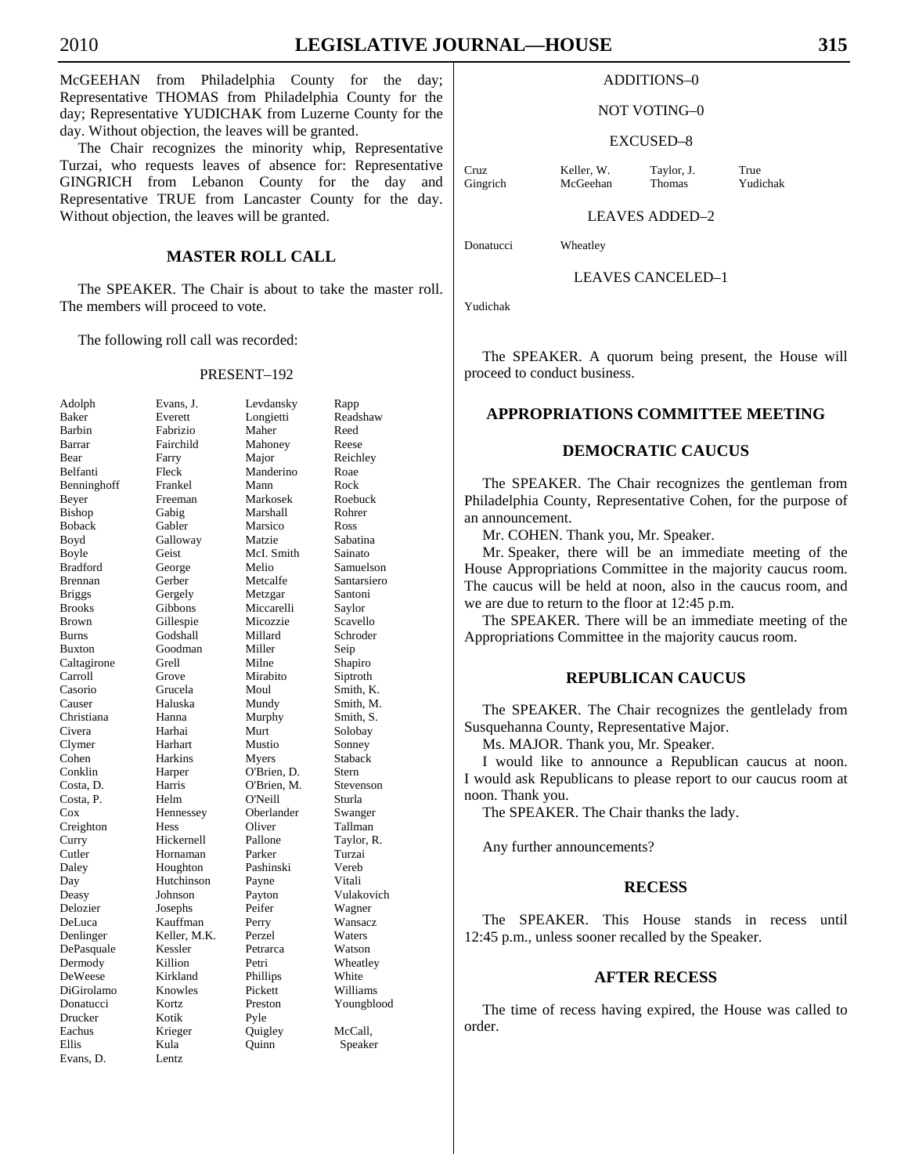McGEEHAN from Philadelphia County for the day; Representative THOMAS from Philadelphia County for the day; Representative YUDICHAK from Luzerne County for the day. Without objection, the leaves will be granted.

 The Chair recognizes the minority whip, Representative Turzai, who requests leaves of absence for: Representative GINGRICH from Lebanon County for the day and Representative TRUE from Lancaster County for the day. Without objection, the leaves will be granted.

# **MASTER ROLL CALL**

 The SPEAKER. The Chair is about to take the master roll. The members will proceed to vote.

The following roll call was recorded:

#### PRESENT–192

| Adolph          | Evans, J.      | Levd   |
|-----------------|----------------|--------|
| <b>Baker</b>    | Everett        | Long   |
| Barbin          | Fabrizio       | Mah    |
| Barrar          | Fairchild      | Maho   |
| Bear            | Farry          | Majo   |
| Belfanti        | Fleck          | Mano   |
| Benninghoff     | Frankel        | Manı   |
| Beyer           | Freeman        | Mark   |
| <b>Bishop</b>   | Gabig          | Mars   |
| <b>Boback</b>   | Gabler         | Mars   |
| Boyd            | Galloway       | Matz   |
| Boyle           | Geist          | McI.   |
| <b>Bradford</b> | George         | Meli   |
| <b>Brennan</b>  | Gerber         | Metc   |
| <b>Briggs</b>   | Gergely        | Metz   |
| <b>Brooks</b>   | Gibbons        | Micc   |
| <b>Brown</b>    | Gillespie      | Mico   |
| <b>Burns</b>    | Godshall       | Milla  |
| <b>Buxton</b>   | Goodman        | Mille  |
| Caltagirone     | Grell          | Miln   |
| Carroll         | Grove          | Mira   |
| Casorio         | Grucela        | Mou    |
| Causer          | Haluska        | Mun    |
| Christiana      | Hanna          | Murp   |
| Civera          | Harhai         | Murt   |
| Clymer          | Harhart        | Must   |
| Cohen           | <b>Harkins</b> | Myer   |
| Conklin         | Harper         | O'Br   |
| Costa, D.       | Harris         | O'Br   |
| Costa, P.       | Helm           | O'Ne   |
| Cox             | Hennessey      | Ober   |
| Creighton       | Hess           | Olive  |
| Curry           | Hickernell     | Pallo  |
| Cutler          | Hornaman       | Parke  |
| Daley           | Houghton       | Pashi  |
| Day             | Hutchinson     | Payn   |
| Deasy           | Johnson        | Payto  |
| Delozier        | Josephs        | Peife  |
| DeLuca          | Kauffman       | Perry  |
| Denlinger       | Keller, M.K.   | Perze  |
| DePasquale      | Kessler        | Petra  |
| Dermody         | Killion        | Petri  |
| DeWeese         | Kirkland       | Philli |
| DiGirolamo      | Knowles        | Picke  |
| Donatucci       | Kortz          | Prest  |
| Drucker         | Kotik          | Pyle   |
| Eachus          | Krieger        | Quig   |
| Ellis           | Kula           | Quin   |
| Evans, D.       | Lentz          |        |
|                 |                |        |

| Adolph        | Evans, J.      | Levdansky   | Rapp        |
|---------------|----------------|-------------|-------------|
| Baker         | Everett        | Longietti   | Readshaw    |
| Barbin        | Fabrizio       | Maher       | Reed        |
| Barrar        | Fairchild      | Mahoney     | Reese       |
| Bear          | Farry          | Major       | Reichley    |
| Belfanti      | Fleck          | Manderino   | Roae        |
| Benninghoff   | Frankel        | Mann        | Rock        |
| Beyer         | Freeman        | Markosek    | Roebuck     |
| Bishop        | Gabig          | Marshall    | Rohrer      |
| <b>Boback</b> | Gabler         | Marsico     | Ross        |
| Boyd          | Galloway       | Matzie      | Sabatina    |
| Boyle         | Geist          | McI. Smith  | Sainato     |
| Bradford      | George         | Melio       | Samuelson   |
| Brennan       | Gerber         | Metcalfe    | Santarsiero |
| <b>Briggs</b> | Gergely        | Metzgar     | Santoni     |
| <b>Brooks</b> | Gibbons        | Miccarelli  | Saylor      |
| Brown         | Gillespie      | Micozzie    | Scavello    |
| Burns         | Godshall       | Millard     | Schroder    |
| Buxton        | Goodman        | Miller      | Seip        |
| Caltagirone   | Grell          | Milne       | Shapiro     |
| Carroll       | Grove          | Mirabito    | Siptroth    |
| Casorio       | Grucela        | Moul        | Smith, K.   |
| Causer        | Haluska        | Mundy       | Smith, M.   |
| Christiana    | Hanna          | Murphy      | Smith, S.   |
| Civera        | Harhai         | Murt        | Solobay     |
| Clymer        | Harhart        | Mustio      | Sonney      |
| Cohen         | <b>Harkins</b> | Myers       | Staback     |
| Conklin       | Harper         | O'Brien, D. | Stern       |
| Costa, D.     | Harris         | O'Brien, M. | Stevenson   |
| Costa, P.     | Helm           | O'Neill     | Sturla      |
| Cox           | Hennessey      | Oberlander  | Swanger     |
| Creighton     | Hess           | Oliver      | Tallman     |
| Curry         | Hickernell     | Pallone     | Taylor, R.  |
| Cutler        | Hornaman       | Parker      | Turzai      |
| Daley         | Houghton       | Pashinski   | Vereb       |
| Day           | Hutchinson     | Payne       | Vitali      |
| Deasy         | Johnson        | Payton      | Vulakovich  |
| Delozier      | Josephs        | Peifer      | Wagner      |
| DeLuca        | Kauffman       | Perry       | Wansacz     |
| Denlinger     | Keller, M.K.   | Perzel      | Waters      |
| DePasquale    | Kessler        | Petrarca    | Watson      |
| Dermody       | Killion        | Petri       | Wheatley    |
| DeWeese       | Kirkland       | Phillips    | White       |
| DiGirolamo    | Knowles        | Pickett     | Williams    |
| Donatucci     | Kortz          | Preston     | Youngblood  |
| Drucker       | Kotik          | Pyle        |             |
| Eachus        | Krieger        | Quigley     | McCall,     |
| Ellis         | Kula           | Ouinn       | Speaker     |
| Evans, D.     | Lentz          |             |             |
|               |                |             |             |

#### NOT VOTING–0

#### EXCUSED–8

Cruz Keller, W. Taylor, J. True Gingrich McGeehan Thomas Yudichak

LEAVES ADDED–2

Donatucci Wheatley

LEAVES CANCELED–1

Yudichak

 The SPEAKER. A quorum being present, the House will proceed to conduct business.

# **APPROPRIATIONS COMMITTEE MEETING**

# **DEMOCRATIC CAUCUS**

 The SPEAKER. The Chair recognizes the gentleman from Philadelphia County, Representative Cohen, for the purpose of an announcement.

Mr. COHEN. Thank you, Mr. Speaker.

 Mr. Speaker, there will be an immediate meeting of the House Appropriations Committee in the majority caucus room. The caucus will be held at noon, also in the caucus room, and we are due to return to the floor at 12:45 p.m.

 The SPEAKER. There will be an immediate meeting of the Appropriations Committee in the majority caucus room.

# **REPUBLICAN CAUCUS**

 The SPEAKER. The Chair recognizes the gentlelady from Susquehanna County, Representative Major.

Ms. MAJOR. Thank you, Mr. Speaker.

 I would like to announce a Republican caucus at noon. I would ask Republicans to please report to our caucus room at noon. Thank you.

The SPEAKER. The Chair thanks the lady.

Any further announcements?

#### **RECESS**

 The SPEAKER. This House stands in recess until 12:45 p.m., unless sooner recalled by the Speaker.

# **AFTER RECESS**

 The time of recess having expired, the House was called to order.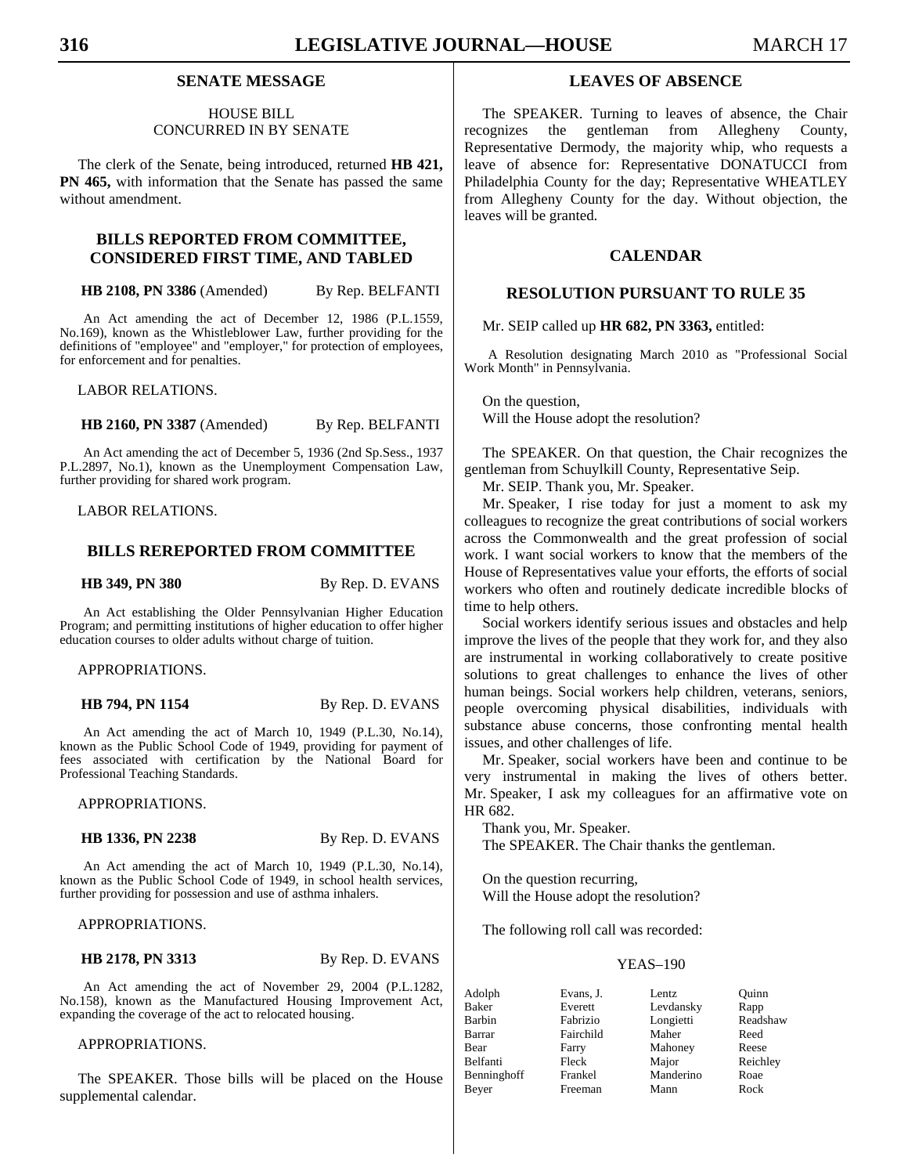# **SENATE MESSAGE**

# HOUSE BILL CONCURRED IN BY SENATE

 The clerk of the Senate, being introduced, returned **HB 421, PN 465,** with information that the Senate has passed the same without amendment.

# **BILLS REPORTED FROM COMMITTEE, CONSIDERED FIRST TIME, AND TABLED**

**HB 2108, PN 3386** (Amended) By Rep. BELFANTI

An Act amending the act of December 12, 1986 (P.L.1559, No.169), known as the Whistleblower Law, further providing for the definitions of "employee" and "employer," for protection of employees, for enforcement and for penalties.

LABOR RELATIONS.

**HB 2160, PN 3387** (Amended) By Rep. BELFANTI

An Act amending the act of December 5, 1936 (2nd Sp.Sess., 1937 P.L.2897, No.1), known as the Unemployment Compensation Law, further providing for shared work program.

LABOR RELATIONS.

# **BILLS REREPORTED FROM COMMITTEE**

**HB 349, PN 380** By Rep. D. EVANS

An Act establishing the Older Pennsylvanian Higher Education Program; and permitting institutions of higher education to offer higher education courses to older adults without charge of tuition.

APPROPRIATIONS.

#### **HB 794, PN 1154** By Rep. D. EVANS

An Act amending the act of March 10, 1949 (P.L.30, No.14), known as the Public School Code of 1949, providing for payment of fees associated with certification by the National Board for Professional Teaching Standards.

APPROPRIATIONS.

**HB 1336, PN 2238** By Rep. D. EVANS

An Act amending the act of March 10, 1949 (P.L.30, No.14), known as the Public School Code of 1949, in school health services, further providing for possession and use of asthma inhalers.

# APPROPRIATIONS.

**HB 2178, PN 3313** By Rep. D. EVANS

An Act amending the act of November 29, 2004 (P.L.1282, No.158), known as the Manufactured Housing Improvement Act, expanding the coverage of the act to relocated housing.

APPROPRIATIONS.

 The SPEAKER. Those bills will be placed on the House supplemental calendar.

# **LEAVES OF ABSENCE**

 The SPEAKER. Turning to leaves of absence, the Chair recognizes the gentleman from Allegheny County, Representative Dermody, the majority whip, who requests a leave of absence for: Representative DONATUCCI from Philadelphia County for the day; Representative WHEATLEY from Allegheny County for the day. Without objection, the leaves will be granted.

# **CALENDAR**

# **RESOLUTION PURSUANT TO RULE 35**

# Mr. SEIP called up **HR 682, PN 3363,** entitled:

A Resolution designating March 2010 as "Professional Social Work Month" in Pennsylvania.

 On the question, Will the House adopt the resolution?

 The SPEAKER. On that question, the Chair recognizes the gentleman from Schuylkill County, Representative Seip.

Mr. SEIP. Thank you, Mr. Speaker.

 Mr. Speaker, I rise today for just a moment to ask my colleagues to recognize the great contributions of social workers across the Commonwealth and the great profession of social work. I want social workers to know that the members of the House of Representatives value your efforts, the efforts of social workers who often and routinely dedicate incredible blocks of time to help others.

 Social workers identify serious issues and obstacles and help improve the lives of the people that they work for, and they also are instrumental in working collaboratively to create positive solutions to great challenges to enhance the lives of other human beings. Social workers help children, veterans, seniors, people overcoming physical disabilities, individuals with substance abuse concerns, those confronting mental health issues, and other challenges of life.

 Mr. Speaker, social workers have been and continue to be very instrumental in making the lives of others better. Mr. Speaker, I ask my colleagues for an affirmative vote on HR 682.

 Thank you, Mr. Speaker. The SPEAKER. The Chair thanks the gentleman.

 On the question recurring, Will the House adopt the resolution?

The following roll call was recorded:

| Adolph      | Evans, J. | Lentz     | Quinn    |
|-------------|-----------|-----------|----------|
| Baker       | Everett   | Levdansky | Rapp     |
| Barbin      | Fabrizio  | Longietti | Readshaw |
| Barrar      | Fairchild | Maher     | Reed     |
| Bear        | Farry     | Mahoney   | Reese    |
| Belfanti    | Fleck     | Major     | Reichley |
| Benninghoff | Frankel   | Manderino | Roae     |
| Bever       | Freeman   | Mann      | Rock     |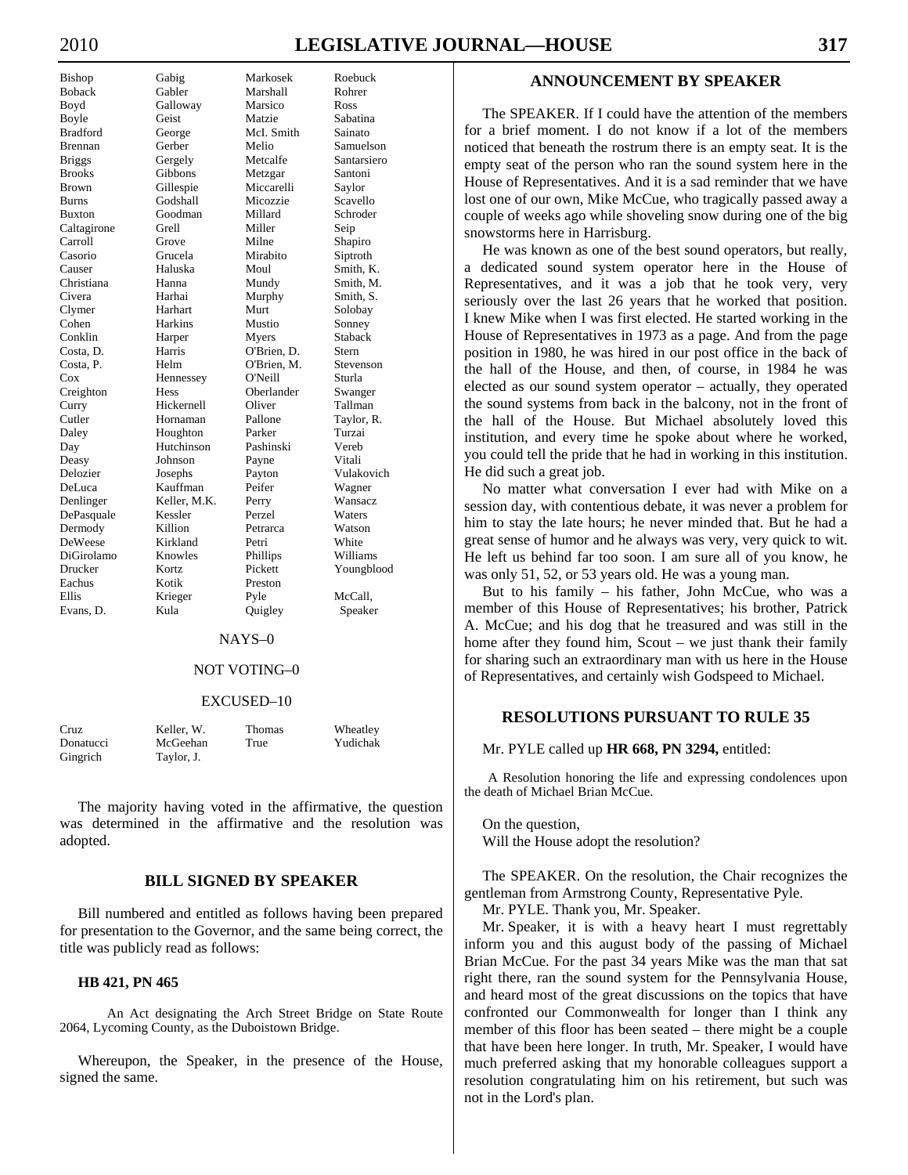| DISHUP                                       |
|----------------------------------------------|
| Boback                                       |
| Boyd                                         |
| Boyle                                        |
| <b>Bradford</b>                              |
| <b>Brennan</b>                               |
| <b>Briggs</b>                                |
| <b>Brooks</b>                                |
| <b>Brown</b>                                 |
| <b>Burns</b>                                 |
| <b>Buxton</b>                                |
| Caltagirone<br>Carroll                       |
|                                              |
| Casorio                                      |
| Causer                                       |
| Christiana                                   |
| Civera                                       |
| Clymer                                       |
| Cohen                                        |
| Conklin                                      |
| Costa, D.                                    |
|                                              |
| Costa, P.<br>Costa, P.<br>Creighton<br>Curry |
|                                              |
|                                              |
| Cutler                                       |
| Daley                                        |
| Day                                          |
| Deasy                                        |
| Delozier                                     |
| DeLuca                                       |
| Denlinger                                    |
| DePasquale<br>Dermody                        |
|                                              |
| DeWeese                                      |
| DiGirolamo                                   |
| Drucker                                      |
| Eachus                                       |
| Ellis                                        |
| Evans. D                                     |

Bishop Gabig Markosek Roebuck Gabler Marshall Rohrer Galloway Marsico Ross Geist Matzie Sabatina George McI. Smith Sainato Gerber Melio Samuelson Gergely Metcalfe Santarsiero Gibbons Metzgar Santoni Gillespie Miccarelli Saylor Burns Godshall Micozzie Scavello Goodman Millard Schroder Caltagirone Grell Miller Seip Grove Milne Shapiro Grucela Mirabito Siptroth Haluska Moul Smith, K. Christiana Hanna Mundy Smith, M. Harhai Murphy Smith, S. Harhart Murt Solobay Harkins Mustio Sonney Harper Myers Staback Harris O'Brien, D. Stern<br>Helm O'Brien, M. Stevenson O'Brien, M. Hennessey O'Neill Sturla Hess Oberlander Swanger Hickernell Oliver Tallman Hornaman Pallone Taylor, R. Houghton Parker Turzai Hutchinson Pashinski Vereb Johnson Payne Vitali Josephs Payton Vulakovich Kauffman Peifer Wagner Keller, M.K. Perry Wansacz DePasquale Kessler Perzel Waters Dermody Killion Petrarca Watson Kirkland Petri White Knowles Phillips Williams Kortz Pickett Youngblood Kotik Preston Krieger Pyle McCall, Kula Quigley Speaker

#### NAYS–0

## NOT VOTING–0

#### EXCUSED–10

| Cruz      | Keller. W. | <b>Thomas</b> | Wheatley |
|-----------|------------|---------------|----------|
| Donatucci | McGeehan   | True          | Yudichak |
| Gingrich  | Taylor, J. |               |          |

 The majority having voted in the affirmative, the question was determined in the affirmative and the resolution was adopted.

# **BILL SIGNED BY SPEAKER**

 Bill numbered and entitled as follows having been prepared for presentation to the Governor, and the same being correct, the title was publicly read as follows:

#### **HB 421, PN 465**

 An Act designating the Arch Street Bridge on State Route 2064, Lycoming County, as the Duboistown Bridge.

 Whereupon, the Speaker, in the presence of the House, signed the same.

# **ANNOUNCEMENT BY SPEAKER**

 The SPEAKER. If I could have the attention of the members for a brief moment. I do not know if a lot of the members noticed that beneath the rostrum there is an empty seat. It is the empty seat of the person who ran the sound system here in the House of Representatives. And it is a sad reminder that we have lost one of our own, Mike McCue, who tragically passed away a couple of weeks ago while shoveling snow during one of the big snowstorms here in Harrisburg.

 He was known as one of the best sound operators, but really, a dedicated sound system operator here in the House of Representatives, and it was a job that he took very, very seriously over the last 26 years that he worked that position. I knew Mike when I was first elected. He started working in the House of Representatives in 1973 as a page. And from the page position in 1980, he was hired in our post office in the back of the hall of the House, and then, of course, in 1984 he was elected as our sound system operator – actually, they operated the sound systems from back in the balcony, not in the front of the hall of the House. But Michael absolutely loved this institution, and every time he spoke about where he worked, you could tell the pride that he had in working in this institution. He did such a great job.

 No matter what conversation I ever had with Mike on a session day, with contentious debate, it was never a problem for him to stay the late hours; he never minded that. But he had a great sense of humor and he always was very, very quick to wit. He left us behind far too soon. I am sure all of you know, he was only 51, 52, or 53 years old. He was a young man.

 But to his family – his father, John McCue, who was a member of this House of Representatives; his brother, Patrick A. McCue; and his dog that he treasured and was still in the home after they found him, Scout – we just thank their family for sharing such an extraordinary man with us here in the House of Representatives, and certainly wish Godspeed to Michael.

# **RESOLUTIONS PURSUANT TO RULE 35**

Mr. PYLE called up **HR 668, PN 3294,** entitled:

A Resolution honoring the life and expressing condolences upon the death of Michael Brian McCue.

 On the question, Will the House adopt the resolution?

 The SPEAKER. On the resolution, the Chair recognizes the gentleman from Armstrong County, Representative Pyle.

Mr. PYLE. Thank you, Mr. Speaker.

 Mr. Speaker, it is with a heavy heart I must regrettably inform you and this august body of the passing of Michael Brian McCue. For the past 34 years Mike was the man that sat right there, ran the sound system for the Pennsylvania House, and heard most of the great discussions on the topics that have confronted our Commonwealth for longer than I think any member of this floor has been seated – there might be a couple that have been here longer. In truth, Mr. Speaker, I would have much preferred asking that my honorable colleagues support a resolution congratulating him on his retirement, but such was not in the Lord's plan.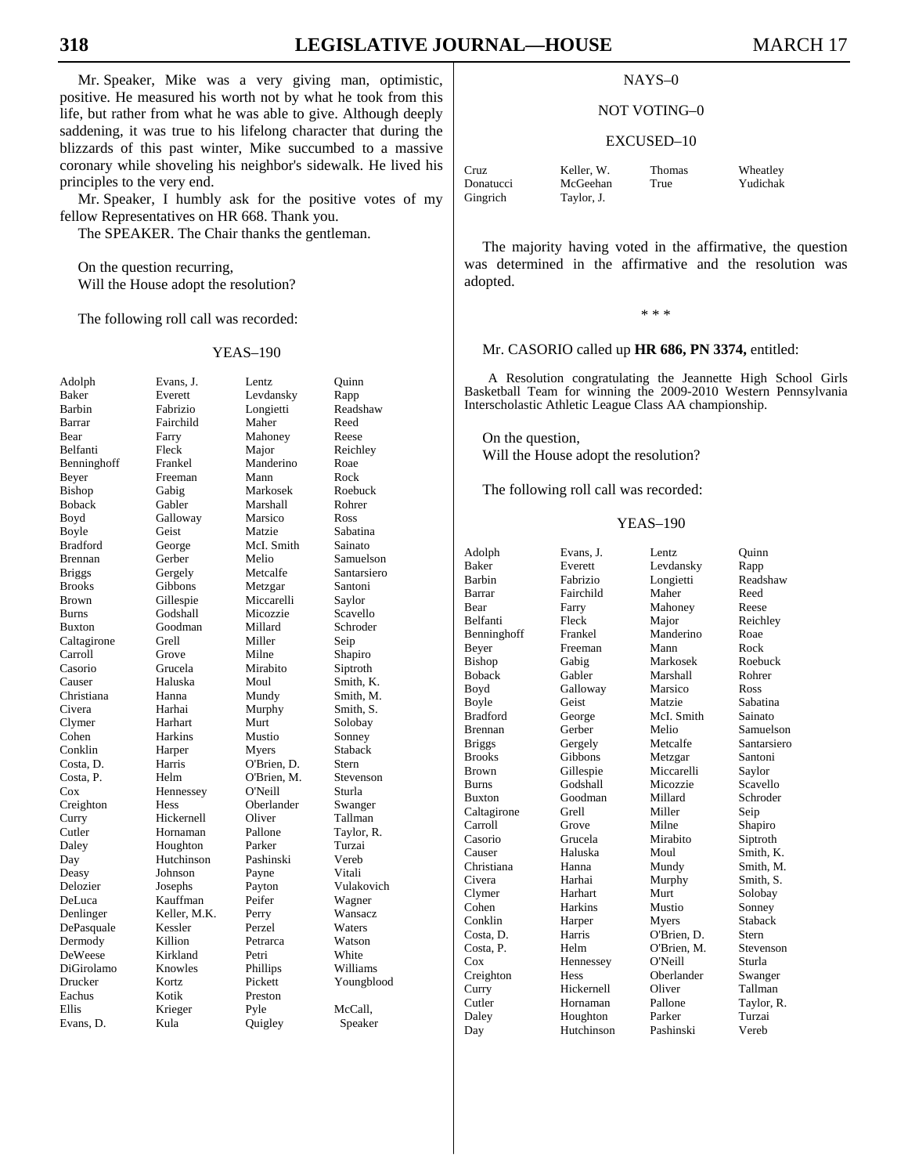Mr. Speaker, Mike was a very giving man, optimistic, positive. He measured his worth not by what he took from this life, but rather from what he was able to give. Although deeply saddening, it was true to his lifelong character that during the blizzards of this past winter, Mike succumbed to a massive coronary while shoveling his neighbor's sidewalk. He lived his principles to the very end.

 Mr. Speaker, I humbly ask for the positive votes of my fellow Representatives on HR 668. Thank you.

The SPEAKER. The Chair thanks the gentleman.

 On the question recurring, Will the House adopt the resolution?

The following roll call was recorded:

#### YEAS–190

| Adolph              |
|---------------------|
|                     |
| <b>Baker</b>        |
| Barbin              |
| Barrar              |
|                     |
| Bear                |
| Belfanti            |
| Benninghoff         |
|                     |
| Beyer               |
| Bishop              |
| Boback              |
|                     |
| Boyd                |
| Boyle               |
| <b>Bradford</b>     |
| Brennan             |
|                     |
| <b>Briggs</b>       |
| <b>Brooks</b>       |
| <b>Brown</b>        |
|                     |
| <b>Burns</b>        |
| <b>Buxton</b>       |
| Caltagirone         |
|                     |
| Carroll             |
| Casorio             |
| Causer              |
| Christiana          |
|                     |
| Civera              |
| Clymer<br>Cohen     |
|                     |
|                     |
| Conklin             |
| Costa, D.           |
| Costa, P.<br>Cox    |
|                     |
|                     |
| Creighton           |
| Curry               |
| Cutler              |
|                     |
| Daley               |
| Day                 |
| Deasy               |
|                     |
| Delozier            |
| DeLuca<br>Denlinger |
|                     |
|                     |
| DePasquale          |
| Dermody             |
| DeWeese             |
| DiGirolamo          |
|                     |
| Drucker             |
| Eachus              |
| Ellis               |
|                     |
| Evans, D.           |

Evans, J. Lentz Quinn Everett Levdansky Rapp Fabrizio Longietti Readshaw<br>Fairchild Maher Reed Fairchild Farry Mahoney Reese Fleck Major Reichley Benninghoff Frankel Manderino Roae Freeman Mann Rock<br>Gabig Markosek Roeb Gabler Marshall Rohrer Galloway Marsico Ross Geist Matzie Sabatina George McI. Smith Sainato Gerber Melio Samuelson<br>Gergely Metcalfe Santarsiero Gergely Metcalfe Santarsiero Gibbons Metzgar Santoni Gillespie Miccarelli Saylor Godshall Micozzie Scavello<br>Goodman Millard Schroder Goodman Grell Miller Seip Grove Milne Shapiro Grucela Mirabito Siptroth Haluska Moul Smith, K. Hanna Mundy Smith, M. Harhai Murphy Smith, S. Harhart Murt Solobay Harkins Mustio Sonney Harper Myers Staback Harris O'Brien, D. Stern Helm O'Brien, M. Stevenson Hennessey O'Neill Sturla Hess Oberlander Swanger Hickernell Oliver Tallman<br>
Hornaman Pallone Taylor I Hornaman Pallone Taylor, R. Houghton Parker Turzai Hutchinson Pashinski Vereb<br>
Johnson Payne Vitali Johnson Payne Josephs Payton Vulakovich Kauffman Peifer Wagner Keller, M.K. Perry Wansacz<br>
Ressler Perzel Waters Kessler<br>Killion Kirkland Petri White Knowles Phillips Williams Kortz Pickett Youngblood Kotik Preston<br>Krieger Pyle Kula Quigley Speaker

Markosek Roebuck Petrarca Watson Pyle McCall,

# **318 LEGISLATIVE JOURNAL—HOUSE** MARCH 17

#### NAYS–0

#### NOT VOTING–0

#### EXCUSED–10

Cruz Keller, W. Thomas Wheatley Donatucci McGeehan True Yudichak Gingrich Taylor, J.

 The majority having voted in the affirmative, the question was determined in the affirmative and the resolution was adopted.

\* \* \*

#### Mr. CASORIO called up **HR 686, PN 3374,** entitled:

A Resolution congratulating the Jeannette High School Girls Basketball Team for winning the 2009-2010 Western Pennsylvania Interscholastic Athletic League Class AA championship.

 On the question, Will the House adopt the resolution?

The following roll call was recorded:

| Adolph          | Evans, J.  | Lentz       | Ouinn       |
|-----------------|------------|-------------|-------------|
| <b>Baker</b>    | Everett    | Levdansky   | Rapp        |
| <b>Barbin</b>   | Fabrizio   | Longietti   | Readshaw    |
| Barrar          | Fairchild  | Maher       | Reed        |
| Bear            | Farry      | Mahoney     | Reese       |
| <b>Belfanti</b> | Fleck      | Major       | Reichley    |
| Benninghoff     | Frankel    | Manderino   | Roae        |
| Beyer           | Freeman    | Mann        | Rock        |
| <b>Bishop</b>   | Gabig      | Markosek    | Roebuck     |
| <b>Boback</b>   | Gabler     | Marshall    | Rohrer      |
| Boyd            | Galloway   | Marsico     | Ross        |
| Boyle           | Geist      | Matzie      | Sabatina    |
| <b>Bradford</b> | George     | McI. Smith  | Sainato     |
| <b>Brennan</b>  | Gerber     | Melio       | Samuelson   |
| <b>Briggs</b>   | Gergely    | Metcalfe    | Santarsiero |
| <b>Brooks</b>   | Gibbons    | Metzgar     | Santoni     |
| Brown           | Gillespie  | Miccarelli  | Saylor      |
| <b>Burns</b>    | Godshall   | Micozzie    | Scavello    |
| <b>Buxton</b>   | Goodman    | Millard     | Schroder    |
| Caltagirone     | Grell      | Miller      | Seip        |
| Carroll         | Grove      | Milne       | Shapiro     |
| Casorio         | Grucela    | Mirabito    | Siptroth    |
| Causer          | Haluska    | Moul        | Smith, K.   |
| Christiana      | Hanna      | Mundy       | Smith. M.   |
| Civera          | Harhai     | Murphy      | Smith, S.   |
| Clymer          | Harhart    | Murt        | Solobay     |
| Cohen           | Harkins    | Mustio      | Sonney      |
| Conklin         | Harper     | Myers       | Staback     |
| Costa, D.       | Harris     | O'Brien, D. | Stern       |
| Costa, P.       | Helm       | O'Brien, M. | Stevenson   |
| Cox             | Hennessey  | O'Neill     | Sturla      |
| Creighton       | Hess       | Oberlander  | Swanger     |
| Curry           | Hickernell | Oliver      | Tallman     |
| Cutler          | Hornaman   | Pallone     | Taylor, R.  |
| Daley           | Houghton   | Parker      | Turzai      |
| Dav             | Hutchinson | Pashinski   | Vereb       |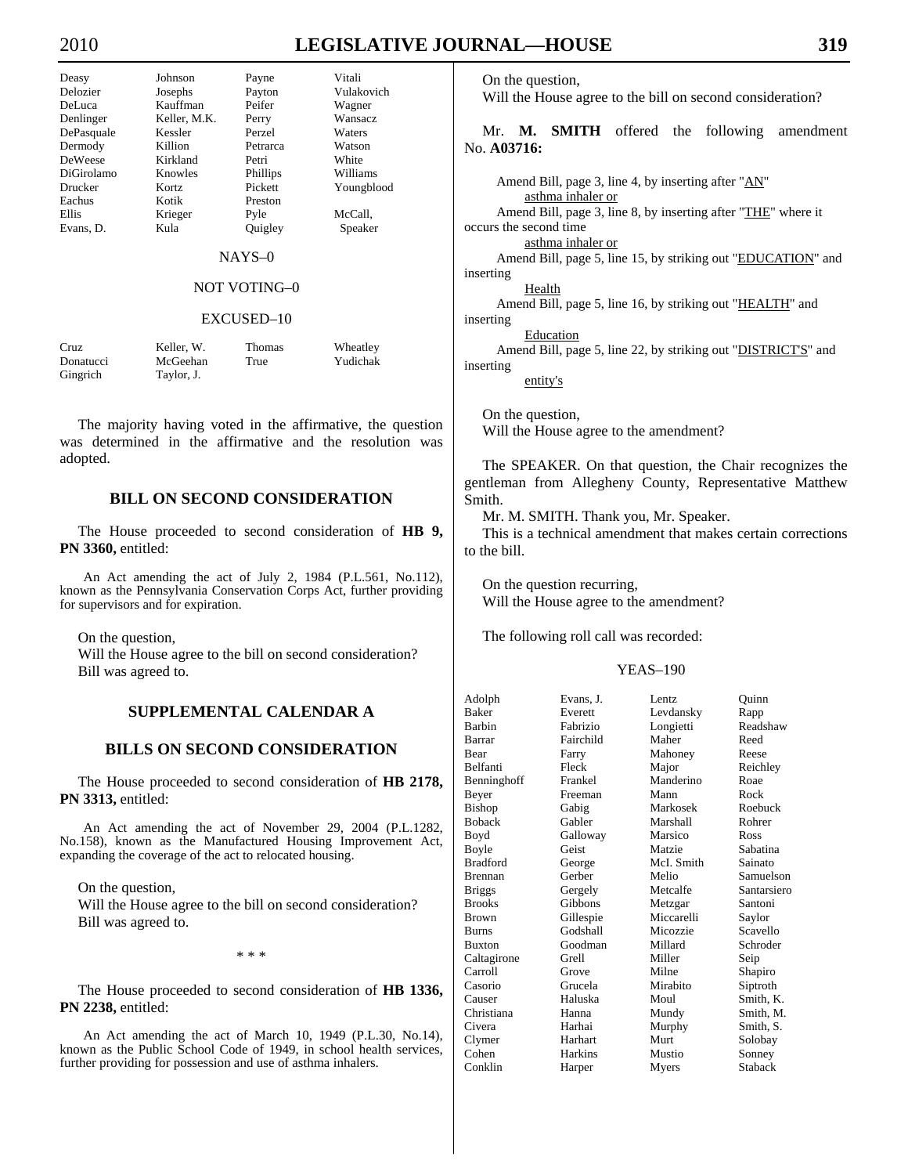Deasy Johnson Payne Vitali DeWeese Kirkland Petri White Eachus Kotik Preston

Delozier Josephs Payton Vulakovich DeLuca Kauffman Peifer Wagner Keller, M.K. Perry Wansacz DePasquale Kessler Perzel Waters Dermody Killion Petrarca Watson DiGirolamo Knowles Phillips Williams Drucker Kortz Pickett Youngblood Ellis Krieger Pyle McCall, Evans, D. Kula Quigley Speaker

#### NAYS–0

# NOT VOTING–0

#### EXCUSED–10

| Cruz      | Keller. W. | <b>Thomas</b> | Wheatley |
|-----------|------------|---------------|----------|
| Donatucci | McGeehan   | True          | Yudichak |
| Gingrich  | Taylor, J. |               |          |

 The majority having voted in the affirmative, the question was determined in the affirmative and the resolution was adopted.

# **BILL ON SECOND CONSIDERATION**

 The House proceeded to second consideration of **HB 9, PN 3360,** entitled:

An Act amending the act of July 2, 1984 (P.L.561, No.112), known as the Pennsylvania Conservation Corps Act, further providing for supervisors and for expiration.

On the question,

 Will the House agree to the bill on second consideration? Bill was agreed to.

# **SUPPLEMENTAL CALENDAR A**

# **BILLS ON SECOND CONSIDERATION**

 The House proceeded to second consideration of **HB 2178, PN 3313,** entitled:

An Act amending the act of November 29, 2004 (P.L.1282, No.158), known as the Manufactured Housing Improvement Act, expanding the coverage of the act to relocated housing.

On the question,

 Will the House agree to the bill on second consideration? Bill was agreed to.

\* \* \*

 The House proceeded to second consideration of **HB 1336, PN 2238,** entitled:

An Act amending the act of March 10, 1949 (P.L.30, No.14), known as the Public School Code of 1949, in school health services, further providing for possession and use of asthma inhalers.

On the question,

Will the House agree to the bill on second consideration?

 Mr. **M. SMITH** offered the following amendment No. **A03716:** 

Amend Bill, page 3, line 4, by inserting after "AN" asthma inhaler or Amend Bill, page 3, line 8, by inserting after "THE" where it occurs the second time asthma inhaler or Amend Bill, page 5, line 15, by striking out "EDUCATION" and inserting Health Amend Bill, page 5, line 16, by striking out "HEALTH" and inserting **Education** Amend Bill, page 5, line 22, by striking out "**DISTRICT'S**" and inserting entity's

 On the question, Will the House agree to the amendment?

 The SPEAKER. On that question, the Chair recognizes the gentleman from Allegheny County, Representative Matthew Smith.

Mr. M. SMITH. Thank you, Mr. Speaker.

 This is a technical amendment that makes certain corrections to the bill.

 On the question recurring, Will the House agree to the amendment?

The following roll call was recorded:

| Adolph          | Evans, J. | Lentz.      | Ouinn       |
|-----------------|-----------|-------------|-------------|
| <b>Baker</b>    | Everett   | Levdansky   | Rapp        |
| Barbin          | Fabrizio  | Longietti   | Readshaw    |
| Barrar          | Fairchild | Maher       | Reed        |
| Bear            | Farry     | Mahoney     | Reese       |
| Belfanti        | Fleck     | Major       | Reichley    |
| Benninghoff     | Frankel   | Manderino   | Roae        |
| Beyer           | Freeman   | Mann        | Rock        |
| <b>Bishop</b>   | Gabig     | Markosek    | Roebuck     |
| <b>Boback</b>   | Gabler    | Marshall    | Rohrer      |
| Boyd            | Galloway  | Marsico     | Ross        |
| Boyle           | Geist     | Matzie      | Sabatina    |
| <b>Bradford</b> | George    | McI. Smith  | Sainato     |
| Brennan         | Gerber    | Melio       | Samuelson   |
| <b>Briggs</b>   | Gergely   | Metcalfe    | Santarsiero |
| <b>Brooks</b>   | Gibbons   | Metzgar     | Santoni     |
| <b>Brown</b>    | Gillespie | Miccarelli  | Saylor      |
| <b>Burns</b>    | Godshall  | Micozzie    | Scavello    |
| <b>Buxton</b>   | Goodman   | Millard     | Schroder    |
| Caltagirone     | Grell     | Miller      | Seip        |
| Carroll         | Grove     | Milne       | Shapiro     |
| Casorio         | Grucela   | Mirabito    | Siptroth    |
| Causer          | Haluska   | Moul        | Smith, K.   |
| Christiana      | Hanna     | Mundy       | Smith, M.   |
| Civera          | Harhai    | Murphy      | Smith, S.   |
| Clymer          | Harhart   | <b>Murt</b> | Solobay     |
| Cohen           | Harkins   | Mustio      | Sonney      |
| Conklin         | Harper    | Myers       | Staback     |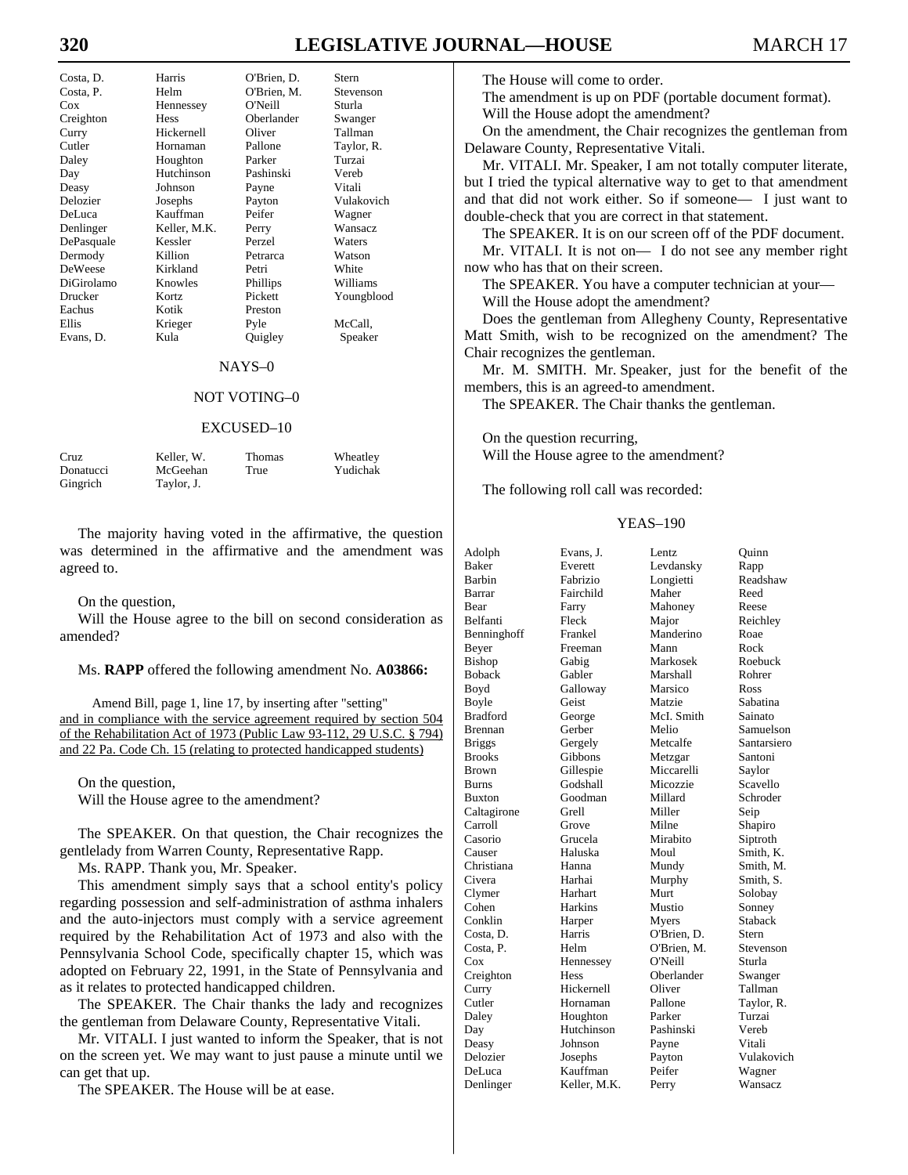# **320 LEGISLATIVE JOURNAL—HOUSE** MARCH 17

| Costa, D.      | Harris       | O'Brien, D. | Stern          |
|----------------|--------------|-------------|----------------|
| Costa, P.      | Helm         | O'Brien, M. | Stevenson      |
| Cox            | Hennessey    | O'Neill     | Sturla         |
| Creighton      | <b>Hess</b>  | Oberlander  | Swanger        |
| Curry          | Hickernell   | Oliver      | Tallman        |
| Cutler         | Hornaman     | Pallone     | Taylor, R.     |
| Daley          | Houghton     | Parker      | Turzai         |
| Day            | Hutchinson   | Pashinski   | Vereb          |
| Deasy          | Johnson      | Payne       | Vitali         |
| Delozier       | Josephs      | Payton      | Vulakovich     |
| DeLuca         | Kauffman     | Peifer      | Wagner         |
| Denlinger      | Keller, M.K. | Perry       | <b>Wansacz</b> |
| DePasquale     | Kessler      | Perzel      | Waters         |
| Dermody        | Killion      | Petrarca    | Watson         |
| <b>DeWeese</b> | Kirkland     | Petri       | White          |
| DiGirolamo     | Knowles      | Phillips    | Williams       |
| Drucker        | Kortz        | Pickett     | Youngblood     |
| Eachus         | Kotik        | Preston     |                |
| Ellis          | Krieger      | Pyle        | McCall.        |
| Evans, D.      | Kula         | Quigley     | Speaker        |

#### NAYS–0

# NOT VOTING–0

#### EXCUSED–10

| Cruz      | Keller. W. | <b>Thomas</b> | Wheatley |
|-----------|------------|---------------|----------|
| Donatucci | McGeehan   | True          | Yudichak |
| Gingrich  | Taylor, J. |               |          |

 The majority having voted in the affirmative, the question was determined in the affirmative and the amendment was agreed to.

On the question,

 Will the House agree to the bill on second consideration as amended?

#### Ms. **RAPP** offered the following amendment No. **A03866:**

Amend Bill, page 1, line 17, by inserting after "setting" and in compliance with the service agreement required by section 504 of the Rehabilitation Act of 1973 (Public Law 93-112, 29 U.S.C. § 794) and 22 Pa. Code Ch. 15 (relating to protected handicapped students)

 On the question, Will the House agree to the amendment?

 The SPEAKER. On that question, the Chair recognizes the gentlelady from Warren County, Representative Rapp.

Ms. RAPP. Thank you, Mr. Speaker.

 This amendment simply says that a school entity's policy regarding possession and self-administration of asthma inhalers and the auto-injectors must comply with a service agreement required by the Rehabilitation Act of 1973 and also with the Pennsylvania School Code, specifically chapter 15, which was adopted on February 22, 1991, in the State of Pennsylvania and as it relates to protected handicapped children.

 The SPEAKER. The Chair thanks the lady and recognizes the gentleman from Delaware County, Representative Vitali.

 Mr. VITALI. I just wanted to inform the Speaker, that is not on the screen yet. We may want to just pause a minute until we can get that up.

The SPEAKER. The House will be at ease.

The House will come to order.

 The amendment is up on PDF (portable document format). Will the House adopt the amendment?

 On the amendment, the Chair recognizes the gentleman from Delaware County, Representative Vitali.

 Mr. VITALI. Mr. Speaker, I am not totally computer literate, but I tried the typical alternative way to get to that amendment and that did not work either. So if someone— I just want to double-check that you are correct in that statement.

 The SPEAKER. It is on our screen off of the PDF document. Mr. VITALI. It is not on— I do not see any member right now who has that on their screen.

The SPEAKER. You have a computer technician at your—

Will the House adopt the amendment?

 Does the gentleman from Allegheny County, Representative Matt Smith, wish to be recognized on the amendment? The Chair recognizes the gentleman.

 Mr. M. SMITH. Mr. Speaker, just for the benefit of the members, this is an agreed-to amendment.

The SPEAKER. The Chair thanks the gentleman.

 On the question recurring, Will the House agree to the amendment?

The following roll call was recorded:

#### YEAS–190

| Adolph          | Evans, J.    | Lentz       | Ouinn       |
|-----------------|--------------|-------------|-------------|
| <b>Baker</b>    | Everett      | Levdansky   | Rapp        |
| Barbin          | Fabrizio     | Longietti   | Readshaw    |
| Barrar          | Fairchild    | Maher       | Reed        |
| Bear            | Farry        | Mahoney     | Reese       |
| Belfanti        | Fleck        | Major       | Reichley    |
| Benninghoff     | Frankel      | Manderino   | Roae        |
| Beyer           | Freeman      | Mann        | Rock        |
| Bishop          | Gabig        | Markosek    | Roebuck     |
| <b>Boback</b>   | Gabler       | Marshall    | Rohrer      |
| Boyd            | Galloway     | Marsico     | Ross        |
| Boyle           | Geist        | Matzie      | Sabatina    |
| <b>Bradford</b> | George       | McI. Smith  | Sainato     |
| Brennan         | Gerber       | Melio       | Samuelson   |
| <b>Briggs</b>   | Gergely      | Metcalfe    | Santarsiero |
| <b>Brooks</b>   | Gibbons      | Metzgar     | Santoni     |
| <b>Brown</b>    | Gillespie    | Miccarelli  | Saylor      |
| <b>Burns</b>    | Godshall     | Micozzie    | Scavello    |
| <b>Buxton</b>   | Goodman      | Millard     | Schroder    |
| Caltagirone     | Grell        | Miller      | Seip        |
| Carroll         | Grove        | Milne       | Shapiro     |
| Casorio         | Grucela      | Mirabito    | Siptroth    |
| Causer          | Haluska      | Moul        | Smith, K.   |
| Christiana      | Hanna        | Mundy       | Smith. M.   |
| Civera          | Harhai       | Murphy      | Smith, S.   |
| Clymer          | Harhart      | Murt        | Solobay     |
| Cohen           | Harkins      | Mustio      | Sonney      |
| Conklin         | Harper       | Myers       | Staback     |
| Costa, D.       | Harris       | O'Brien, D. | Stern       |
| Costa, P.       | Helm         | O'Brien, M. | Stevenson   |
| Cox             | Hennessey    | O'Neill     | Sturla      |
| Creighton       | Hess         | Oberlander  | Swanger     |
| Curry           | Hickernell   | Oliver      | Tallman     |
| Cutler          | Hornaman     | Pallone     | Taylor, R.  |
| Daley           | Houghton     | Parker      | Turzai      |
| Day             | Hutchinson   | Pashinski   | Vereb       |
| Deasy           | Johnson      | Payne       | Vitali      |
| Delozier        | Josephs      | Payton      | Vulakovich  |
| DeLuca          | Kauffman     | Peifer      | Wagner      |
| Denlinger       | Keller, M.K. | Perry       | Wansacz     |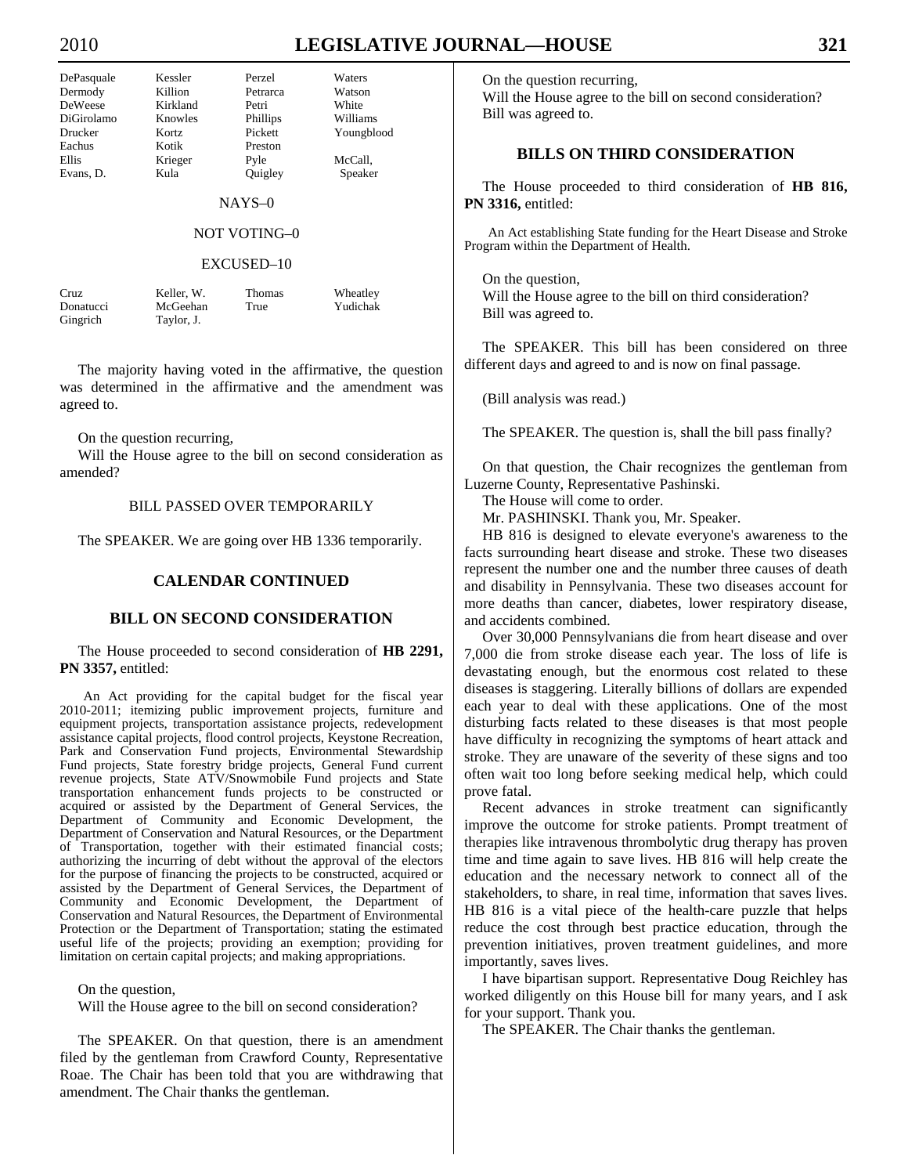Williams Youngblood

McCall, Speaker

| DePasquale | Kessler  | Perzel   | Waters  |
|------------|----------|----------|---------|
| Dermody    | Killion  | Petrarca | Watson  |
| DeWeese    | Kirkland | Petri    | White   |
| DiGirolamo | Knowles  | Phillips | William |
| Drucker    | Kortz    | Pickett  | Youngb  |
| Eachus     | Kotik    | Preston  |         |
| Ellis      | Krieger  | Pyle     | McCall, |
| Evans, D.  | Kula     | Quigley  | Speake  |
|            |          | $NAYS-0$ |         |
|            |          |          |         |

### NOT VOTING–0

#### EXCUSED–10

| Cruz      | Keller, W. | <b>Thomas</b> | Wheatley |
|-----------|------------|---------------|----------|
| Donatucci | McGeehan   | True          | Yudichak |
| Gingrich  | Taylor, J. |               |          |

 The majority having voted in the affirmative, the question was determined in the affirmative and the amendment was agreed to.

On the question recurring,

 Will the House agree to the bill on second consideration as amended?

# BILL PASSED OVER TEMPORARILY

The SPEAKER. We are going over HB 1336 temporarily.

## **CALENDAR CONTINUED**

## **BILL ON SECOND CONSIDERATION**

 The House proceeded to second consideration of **HB 2291, PN 3357,** entitled:

An Act providing for the capital budget for the fiscal year 2010-2011; itemizing public improvement projects, furniture and equipment projects, transportation assistance projects, redevelopment assistance capital projects, flood control projects, Keystone Recreation, Park and Conservation Fund projects, Environmental Stewardship Fund projects, State forestry bridge projects, General Fund current revenue projects, State ATV/Snowmobile Fund projects and State transportation enhancement funds projects to be constructed or acquired or assisted by the Department of General Services, the Department of Community and Economic Development, the Department of Conservation and Natural Resources, or the Department of Transportation, together with their estimated financial costs; authorizing the incurring of debt without the approval of the electors for the purpose of financing the projects to be constructed, acquired or assisted by the Department of General Services, the Department of Community and Economic Development, the Department of Conservation and Natural Resources, the Department of Environmental Protection or the Department of Transportation; stating the estimated useful life of the projects; providing an exemption; providing for limitation on certain capital projects; and making appropriations.

On the question,

Will the House agree to the bill on second consideration?

 The SPEAKER. On that question, there is an amendment filed by the gentleman from Crawford County, Representative Roae. The Chair has been told that you are withdrawing that amendment. The Chair thanks the gentleman.

On the question recurring,

 Will the House agree to the bill on second consideration? Bill was agreed to.

# **BILLS ON THIRD CONSIDERATION**

 The House proceeded to third consideration of **HB 816, PN 3316,** entitled:

An Act establishing State funding for the Heart Disease and Stroke Program within the Department of Health.

 On the question, Will the House agree to the bill on third consideration? Bill was agreed to.

 The SPEAKER. This bill has been considered on three different days and agreed to and is now on final passage.

(Bill analysis was read.)

The SPEAKER. The question is, shall the bill pass finally?

 On that question, the Chair recognizes the gentleman from Luzerne County, Representative Pashinski.

The House will come to order.

Mr. PASHINSKI. Thank you, Mr. Speaker.

 HB 816 is designed to elevate everyone's awareness to the facts surrounding heart disease and stroke. These two diseases represent the number one and the number three causes of death and disability in Pennsylvania. These two diseases account for more deaths than cancer, diabetes, lower respiratory disease, and accidents combined.

 Over 30,000 Pennsylvanians die from heart disease and over 7,000 die from stroke disease each year. The loss of life is devastating enough, but the enormous cost related to these diseases is staggering. Literally billions of dollars are expended each year to deal with these applications. One of the most disturbing facts related to these diseases is that most people have difficulty in recognizing the symptoms of heart attack and stroke. They are unaware of the severity of these signs and too often wait too long before seeking medical help, which could prove fatal.

 Recent advances in stroke treatment can significantly improve the outcome for stroke patients. Prompt treatment of therapies like intravenous thrombolytic drug therapy has proven time and time again to save lives. HB 816 will help create the education and the necessary network to connect all of the stakeholders, to share, in real time, information that saves lives. HB 816 is a vital piece of the health-care puzzle that helps reduce the cost through best practice education, through the prevention initiatives, proven treatment guidelines, and more importantly, saves lives.

 I have bipartisan support. Representative Doug Reichley has worked diligently on this House bill for many years, and I ask for your support. Thank you.

The SPEAKER. The Chair thanks the gentleman.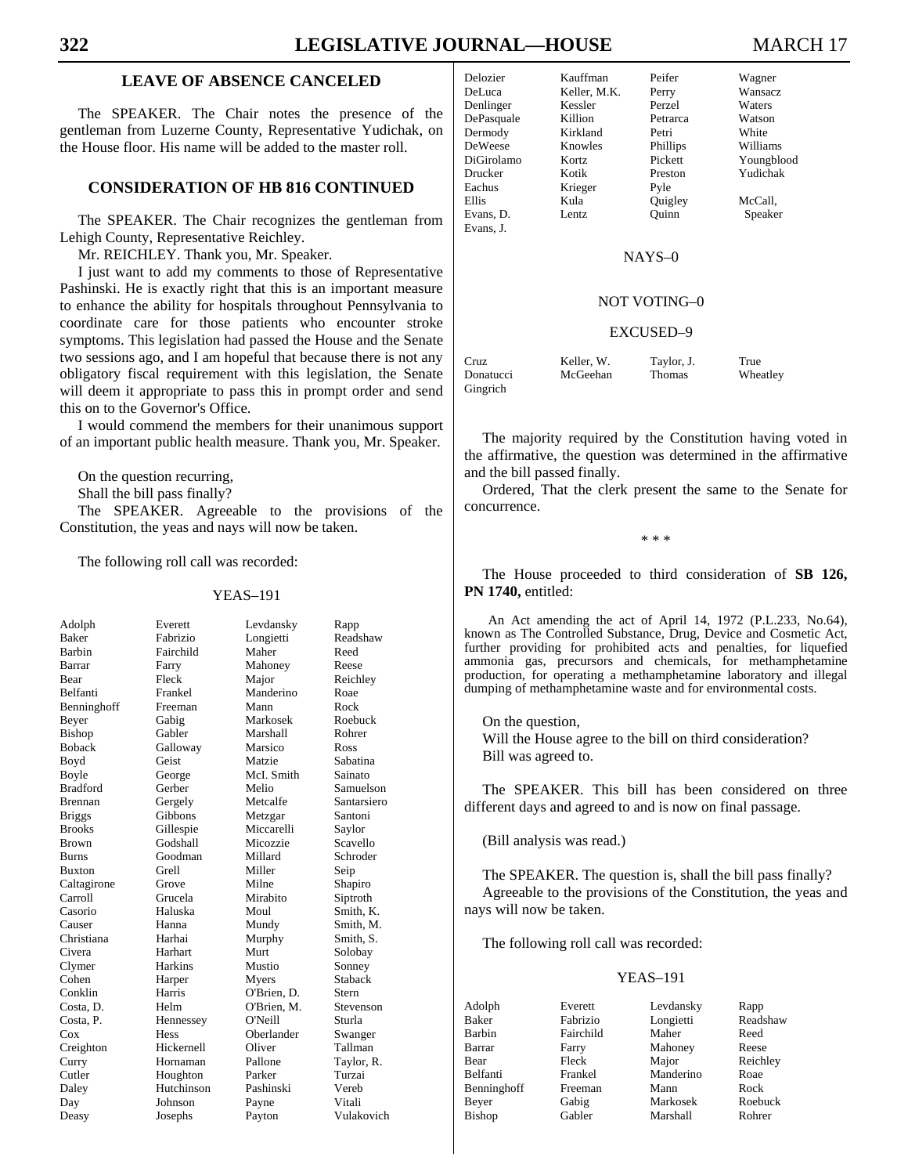# **LEAVE OF ABSENCE CANCELED**

 The SPEAKER. The Chair notes the presence of the gentleman from Luzerne County, Representative Yudichak, on the House floor. His name will be added to the master roll.

# **CONSIDERATION OF HB 816 CONTINUED**

 The SPEAKER. The Chair recognizes the gentleman from Lehigh County, Representative Reichley.

Mr. REICHLEY. Thank you, Mr. Speaker.

 I just want to add my comments to those of Representative Pashinski. He is exactly right that this is an important measure to enhance the ability for hospitals throughout Pennsylvania to coordinate care for those patients who encounter stroke symptoms. This legislation had passed the House and the Senate two sessions ago, and I am hopeful that because there is not any obligatory fiscal requirement with this legislation, the Senate will deem it appropriate to pass this in prompt order and send this on to the Governor's Office.

 I would commend the members for their unanimous support of an important public health measure. Thank you, Mr. Speaker.

On the question recurring,

Shall the bill pass finally?

 The SPEAKER. Agreeable to the provisions of the Constitution, the yeas and nays will now be taken.

The following roll call was recorded:

#### YEAS–191

| Adolph          | Everett     | Levdansky   | Rapp        |
|-----------------|-------------|-------------|-------------|
| <b>Baker</b>    | Fabrizio    | Longietti   | Readshaw    |
| Barbin          | Fairchild   | Maher       | Reed        |
| Barrar          | Farry       | Mahoney     | Reese       |
| Bear            | Fleck       | Major       | Reichley    |
| <b>Belfanti</b> | Frankel     | Manderino   | Roae        |
| Benninghoff     | Freeman     | Mann        | Rock        |
| Beyer           | Gabig       | Markosek    | Roebuck     |
| <b>Bishop</b>   | Gabler      | Marshall    | Rohrer      |
| <b>Boback</b>   | Galloway    | Marsico     | Ross        |
| Boyd            | Geist       | Matzie      | Sabatina    |
| Boyle           | George      | McI. Smith  | Sainato     |
| <b>Bradford</b> | Gerber      | Melio       | Samuelson   |
| Brennan         | Gergely     | Metcalfe    | Santarsiero |
| <b>Briggs</b>   | Gibbons     | Metzgar     | Santoni     |
| <b>Brooks</b>   | Gillespie   | Miccarelli  | Saylor      |
| <b>Brown</b>    | Godshall    | Micozzie    | Scavello    |
| <b>Burns</b>    | Goodman     | Millard     | Schroder    |
| <b>Buxton</b>   | Grell       | Miller      | Seip        |
| Caltagirone     | Grove       | Milne       | Shapiro     |
| Carroll         | Grucela     | Mirabito    | Siptroth    |
| Casorio         | Haluska     | Moul        | Smith. K.   |
| Causer          | Hanna       | Mundy       | Smith. M.   |
| Christiana      | Harhai      | Murphy      | Smith, S.   |
| Civera          | Harhart     | Murt        | Solobay     |
| Clymer          | Harkins     | Mustio      | Sonney      |
| Cohen           | Harper      | Myers       | Staback     |
| Conklin         | Harris      | O'Brien. D. | Stern       |
| Costa, D.       | Helm        | O'Brien, M. | Stevenson   |
| Costa, P.       | Hennessey   | O'Neill     | Sturla      |
| Cox             | <b>Hess</b> | Oberlander  | Swanger     |
| Creighton       | Hickernell  | Oliver      | Tallman     |
| Curry           | Hornaman    | Pallone     | Taylor, R.  |
| Cutler          | Houghton    | Parker      | Turzai      |
| Daley           | Hutchinson  | Pashinski   | Vereb       |
| Day             | Johnson     | Payne       | Vitali      |

Deasy Josephs Payton Vulakovich

| Kauffman     | Peifer   | Wagner     |
|--------------|----------|------------|
| Keller, M.K. | Perry    | Wansacz    |
| Kessler      | Perzel   | Waters     |
| Killion      | Petrarca | Watson     |
| Kirkland     | Petri    | White      |
| Knowles      | Phillips | Williams   |
| Kortz        | Pickett  | Youngblood |
| Kotik        | Preston  | Yudichak   |
| Krieger      | Pyle     |            |
| Kula         | Quigley  | McCall,    |
| Lentz.       | Ouinn    | Speaker    |
|              |          |            |
|              |          |            |

#### NAYS–0

# NOT VOTING–0

#### EXCUSED–9

| Cruz      | Keller. W. | Taylor, J.    | True     |
|-----------|------------|---------------|----------|
| Donatucci | McGeehan   | <b>Thomas</b> | Wheatley |
| Gingrich  |            |               |          |

 The majority required by the Constitution having voted in the affirmative, the question was determined in the affirmative and the bill passed finally.

 Ordered, That the clerk present the same to the Senate for concurrence.

\* \* \*

 The House proceeded to third consideration of **SB 126, PN 1740,** entitled:

An Act amending the act of April 14, 1972 (P.L.233, No.64), known as The Controlled Substance, Drug, Device and Cosmetic Act, further providing for prohibited acts and penalties, for liquefied ammonia gas, precursors and chemicals, for methamphetamine production, for operating a methamphetamine laboratory and illegal dumping of methamphetamine waste and for environmental costs.

On the question,

 Will the House agree to the bill on third consideration? Bill was agreed to.

 The SPEAKER. This bill has been considered on three different days and agreed to and is now on final passage.

(Bill analysis was read.)

 The SPEAKER. The question is, shall the bill pass finally? Agreeable to the provisions of the Constitution, the yeas and nays will now be taken.

The following roll call was recorded:

| Adolph      | Everett   | Levdansky | Rapp     |
|-------------|-----------|-----------|----------|
| Baker       | Fabrizio  | Longietti | Readshaw |
| Barbin      | Fairchild | Maher     | Reed     |
| Barrar      | Farry     | Mahoney   | Reese    |
| Bear        | Fleck     | Major     | Reichley |
| Belfanti    | Frankel   | Manderino | Roae     |
| Benninghoff | Freeman   | Mann      | Rock     |
| Beyer       | Gabig     | Markosek  | Roebuck  |
| Bishop      | Gabler    | Marshall  | Rohrer   |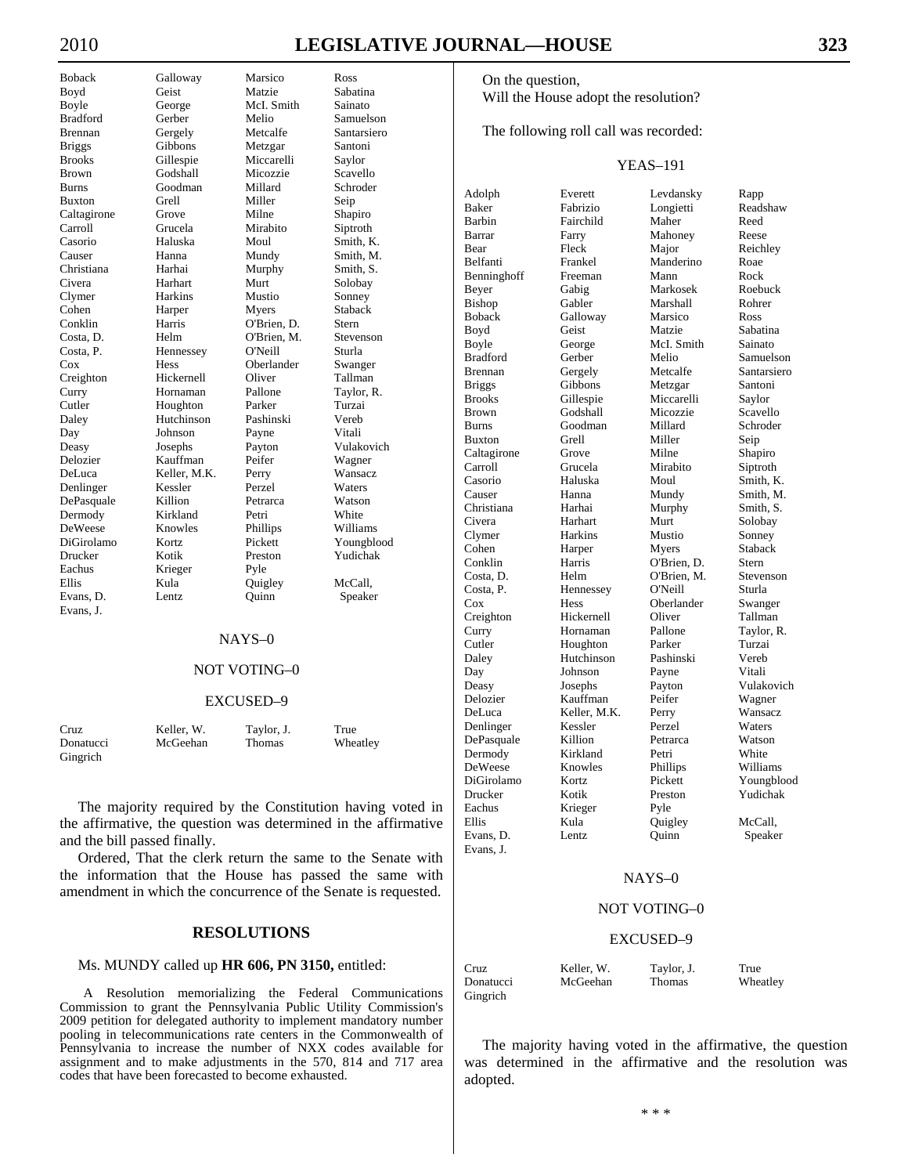DeWeese Evans, D. Lentz Quinn Speaker Evans, J.

Boback Galloway Marsico Ross Boyd Geist Matzie Sabatina Boyle George McI. Smith Sainato<br>Bradford Gerber Melio Samuels Gerber Melio Samuelson Brennan Gergely Metcalfe Santarsiero Briggs Gibbons Metzgar Santoni Brooks Gillespie Miccarelli Saylor Brown Godshall Micozzie Scavello Burns Goodman Millard Schroder Buxton Grell Miller Seip Caltagirone Grove Milne Shapiro Carroll Grucela Mirabito Siptroth Casorio Haluska Moul Smith, K. Causer Hanna Mundy Smith, M. Christiana Harhai Murphy Smith, S. Civera Harhart Murt Solobay Clymer Harkins Mustio Sonney Cohen Harper Myers Staback Conklin Harris O'Brien, D. Stern Costa, D. Helm O'Brien, M. Stevenson Costa, P. Hennessey O'Neill Sturla Oberlander Creighton Hickernell Oliver Tallman Curry Hornaman Pallone Taylor, R. Cutler Houghton Parker Turzai Daley Hutchinson Pashinski Vereb Day Johnson Payne Vitali Deasy Josephs Payton Vulakovich Delozier Kauffman Peifer Wagner Keller, M.K. Perry Denlinger Kessler Perzel Waters DePasquale Killion Petrarca Watson Dermody Kirkland Petri White<br>
DeWeese Knowles Phillips Williams DiGirolamo Kortz Pickett Youngblood Drucker Kotik Preston Yudichak Krieger Pyle Ellis Kula Quigley McCall,

#### NAYS–0

## NOT VOTING–0

#### EXCUSED–9

| Cruz      | Keller. W. | Taylor, J. | True     |
|-----------|------------|------------|----------|
| Donatucci | McGeehan   | Thomas     | Wheatley |
| Gingrich  |            |            |          |

 The majority required by the Constitution having voted in the affirmative, the question was determined in the affirmative and the bill passed finally.

 Ordered, That the clerk return the same to the Senate with the information that the House has passed the same with amendment in which the concurrence of the Senate is requested.

## **RESOLUTIONS**

#### Ms. MUNDY called up **HR 606, PN 3150,** entitled:

A Resolution memorializing the Federal Communications Commission to grant the Pennsylvania Public Utility Commission's 2009 petition for delegated authority to implement mandatory number pooling in telecommunications rate centers in the Commonwealth of Pennsylvania to increase the number of NXX codes available for assignment and to make adjustments in the 570, 814 and 717 area codes that have been forecasted to become exhausted.

 On the question, Will the House adopt the resolution?

The following roll call was recorded:

# YEAS–191

| Adolph        | Everett      | Levdansky   | Rapp        |
|---------------|--------------|-------------|-------------|
| Baker         | Fabrizio     | Longietti   | Readshaw    |
| <b>Barbin</b> | Fairchild    | Maher       | Reed        |
| Barrar        | Farry        | Mahoney     | Reese       |
| Bear          | Fleck        | Major       | Reichley    |
| Belfanti      | Frankel      | Manderino   | Roae        |
| Benninghoff   | Freeman      | Mann        | Rock        |
| Beyer         | Gabig        | Markosek    | Roebuck     |
| Bishop        | Gabler       | Marshall    | Rohrer      |
| <b>Boback</b> | Galloway     | Marsico     | Ross        |
| Boyd          | Geist        | Matzie      | Sabatina    |
| Boyle         | George       | McI. Smith  | Sainato     |
| Bradford      | Gerber       | Melio       | Samuelson   |
| Brennan       | Gergely      | Metcalfe    | Santarsiero |
| <b>Briggs</b> | Gibbons      | Metzgar     | Santoni     |
| Brooks        | Gillespie    | Miccarelli  | Saylor      |
| Brown         | Godshall     | Micozzie    | Scavello    |
| Burns         | Goodman      | Millard     | Schroder    |
| Buxton        | Grell        | Miller      | Seip        |
| Caltagirone   | Grove        | Milne       | Shapiro     |
| Carroll       | Grucela      | Mirabito    | Siptroth    |
| Casorio       | Haluska      | Moul        | Smith, K.   |
| Causer        | Hanna        | Mundy       | Smith, M.   |
| Christiana    | Harhai       | Murphy      | Smith, S.   |
| Civera        | Harhart      | Murt        | Solobay     |
| Clymer        | Harkins      | Mustio      | Sonney      |
| Cohen         | Harper       | Myers       | Staback     |
| Conklin       | Harris       | O'Brien, D. | Stern       |
| Costa, D.     | Helm         | O'Brien, M. | Stevenson   |
| Costa, P.     | Hennessey    | O'Neill     | Sturla      |
| $\cos$        | Hess         | Oberlander  | Swanger     |
| Creighton     | Hickernell   | Oliver      | Tallman     |
| Curry         | Hornaman     | Pallone     | Taylor, R.  |
| Cutler        | Houghton     | Parker      | Turzai      |
| Daley         | Hutchinson   | Pashinski   | Vereb       |
| Day           | Johnson      | Payne       | Vitali      |
| Deasy         | Josephs      | Payton      | Vulakovich  |
| Delozier      | Kauffman     | Peifer      | Wagner      |
| DeLuca        | Keller, M.K. | Perry       | Wansacz     |
| Denlinger     | Kessler      | Perzel      | Waters      |
| DePasquale    | Killion      | Petrarca    | Watson      |
| Dermody       | Kirkland     | Petri       | White       |
| DeWeese       | Knowles      | Phillips    | Williams    |
| DiGirolamo    | Kortz        | Pickett     | Youngblood  |
| Drucker       | Kotik        | Preston     | Yudichak    |
| Eachus        | Krieger      | Pyle        |             |
| Ellis         | Kula         | Quigley     | McCall,     |
| Evans, D.     | Lentz        | Ouinn       | Speaker     |
| Evans, J.     |              |             |             |
|               |              |             |             |

#### NAYS–0

#### NOT VOTING–0

#### EXCUSED–9

| Cruz      | Keller, W. | Taylor, J.    | True     |
|-----------|------------|---------------|----------|
| Donatucci | McGeehan   | <b>Thomas</b> | Wheatley |
| Gingrich  |            |               |          |

 The majority having voted in the affirmative, the question was determined in the affirmative and the resolution was adopted.

\* \* \*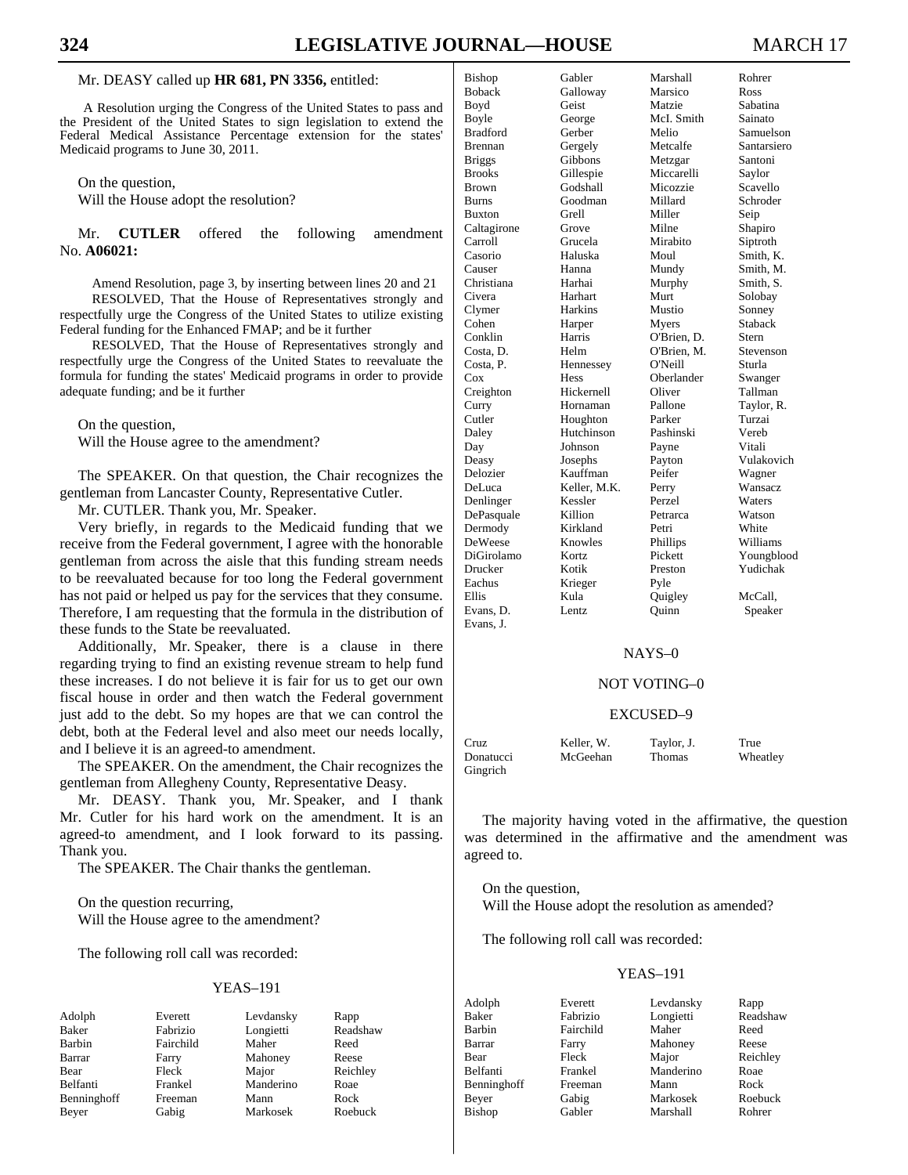#### Mr. DEASY called up **HR 681, PN 3356,** entitled:

A Resolution urging the Congress of the United States to pass and the President of the United States to sign legislation to extend the Federal Medical Assistance Percentage extension for the states' Medicaid programs to June 30, 2011.

On the question,

Will the House adopt the resolution?

 Mr. **CUTLER** offered the following amendment No. **A06021:**

Amend Resolution, page 3, by inserting between lines 20 and 21 RESOLVED, That the House of Representatives strongly and respectfully urge the Congress of the United States to utilize existing Federal funding for the Enhanced FMAP; and be it further

RESOLVED, That the House of Representatives strongly and respectfully urge the Congress of the United States to reevaluate the formula for funding the states' Medicaid programs in order to provide adequate funding; and be it further

On the question,

Will the House agree to the amendment?

 The SPEAKER. On that question, the Chair recognizes the gentleman from Lancaster County, Representative Cutler.

Mr. CUTLER. Thank you, Mr. Speaker.

 Very briefly, in regards to the Medicaid funding that we receive from the Federal government, I agree with the honorable gentleman from across the aisle that this funding stream needs to be reevaluated because for too long the Federal government has not paid or helped us pay for the services that they consume. Therefore, I am requesting that the formula in the distribution of these funds to the State be reevaluated.

 Additionally, Mr. Speaker, there is a clause in there regarding trying to find an existing revenue stream to help fund these increases. I do not believe it is fair for us to get our own fiscal house in order and then watch the Federal government just add to the debt. So my hopes are that we can control the debt, both at the Federal level and also meet our needs locally, and I believe it is an agreed-to amendment.

 The SPEAKER. On the amendment, the Chair recognizes the gentleman from Allegheny County, Representative Deasy.

 Mr. DEASY. Thank you, Mr. Speaker, and I thank Mr. Cutler for his hard work on the amendment. It is an agreed-to amendment, and I look forward to its passing. Thank you.

The SPEAKER. The Chair thanks the gentleman.

 On the question recurring, Will the House agree to the amendment?

The following roll call was recorded:

#### YEAS–191

Beyer Gabig Markosek Roebuck

Adolph Everett Levdansky Rapp Barbin Fairchild Maher Reed Barrar **Farry** Mahoney Reese Bear Fleck Major Reichley<br>
Belfanti Frankel Manderino Roae Belfanti Frankel Manderino Roae Benninghoff Freeman Mann Rock

Longietti Readshaw

| Bishop        | Gabler       | Marshall    | Rohrer         |
|---------------|--------------|-------------|----------------|
| <b>Boback</b> | Galloway     | Marsico     | Ross           |
| Boyd          | Geist        | Matzie      | Sabatina       |
| Boyle         | George       | McI. Smith  | Sainato        |
| Bradford      | Gerber       | Melio       | Samuelson      |
| Brennan       | Gergely      | Metcalfe    | Santarsiero    |
| Briggs        | Gibbons      | Metzgar     | Santoni        |
| Brooks        | Gillespie    | Miccarelli  | Saylor         |
| Brown         | Godshall     | Micozzie    | Scavello       |
| Burns         | Goodman      | Millard     | Schroder       |
| Buxton        | Grell        | Miller      | Seip           |
| Caltagirone   | Grove        | Milne       | Shapiro        |
| Carroll       | Grucela      | Mirabito    | Siptroth       |
| Casorio       | Haluska      | Moul        | Smith, K.      |
| Causer        | Hanna        | Mundy       | Smith. M.      |
| Christiana    | Harhai       | Murphy      | Smith, S.      |
| Civera        | Harhart      | Murt        | Solobay        |
| Clymer        | Harkins      | Mustio      | Sonney         |
| Cohen         | Harper       | Myers       | Staback        |
| Conklin       | Harris       | O'Brien, D. | Stern          |
| Costa, D.     | Helm         | O'Brien, M. | Stevenson      |
| Costa, P.     | Hennessey    | O'Neill     | Sturla         |
| $\cos$        | Hess         | Oberlander  | Swanger        |
| Creighton     | Hickernell   | Oliver      | Tallman        |
| Curry         | Hornaman     | Pallone     | Taylor, R.     |
| Cutler        | Houghton     | Parker      | Turzai         |
| Daley         | Hutchinson   | Pashinski   | Vereb          |
| Day           | Johnson      | Payne       | Vitali         |
| Deasy         | Josephs      | Payton      | Vulakovich     |
| Delozier      | Kauffman     | Peifer      | Wagner         |
| DeLuca        | Keller, M.K. | Perry       | <b>Wansacz</b> |
| Denlinger     | Kessler      | Perzel      | Waters         |
| DePasquale    | Killion      | Petrarca    | Watson         |
| Dermody       | Kirkland     | Petri       | White          |
| DeWeese       | Knowles      | Phillips    | Williams       |
| DiGirolamo    | Kortz        | Pickett     | Youngblood     |
| Drucker       | Kotik        | Preston     | Yudichak       |
| Eachus        | Krieger      | Pyle        |                |
| Ellis         | Kula         | Quigley     | McCall,        |
| Evans, D.     | Lentz        | Quinn       | Speaker        |
| Evans, J.     |              |             |                |

#### NAYS–0

#### NOT VOTING–0

#### EXCUSED–9

| Cruz      | Keller. W. | Taylor, J.    | True     |
|-----------|------------|---------------|----------|
| Donatucci | McGeehan   | <b>Thomas</b> | Wheatley |
| Gingrich  |            |               |          |

 The majority having voted in the affirmative, the question was determined in the affirmative and the amendment was agreed to.

 On the question, Will the House adopt the resolution as amended?

The following roll call was recorded:

| Adolph      | Everett   | Levdansky | Rapp     |
|-------------|-----------|-----------|----------|
| Baker       | Fabrizio  | Longietti | Readshaw |
| Barbin      | Fairchild | Maher     | Reed     |
| Barrar      | Farry     | Mahoney   | Reese    |
| Bear        | Fleck     | Major     | Reichley |
| Belfanti    | Frankel   | Manderino | Roae     |
| Benninghoff | Freeman   | Mann      | Rock     |
| Beyer       | Gabig     | Markosek  | Roebuck  |
| Bishop      | Gabler    | Marshall  | Rohrer   |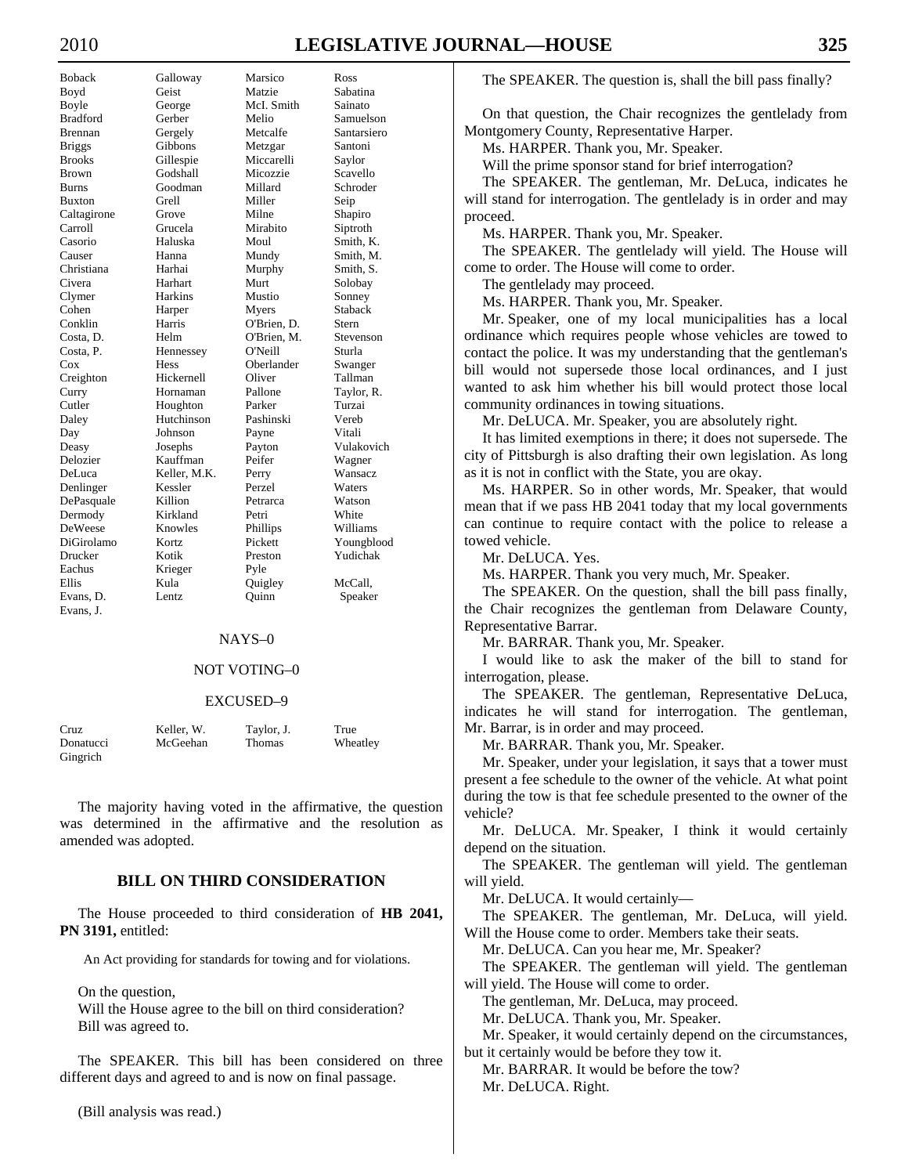DeWeese Knowles Eachus Krieger Pyle Evans, J.

Boback Galloway Marsico Ross Boyd Geist Matzie Sabatina Boyle George McI. Smith Sainato<br>Bradford Gerber Melio Samuel Gerber Melio Samuelson Brennan Gergely Metcalfe Santarsiero Briggs Gibbons Metzgar Santoni Brooks Gillespie Miccarelli Saylor Brown Godshall Micozzie Scavello Burns Goodman Millard Schroder Buxton Grell Miller Seip Caltagirone Grove Milne Shapiro Carroll Grucela Mirabito Siptroth Casorio Haluska Moul Smith, K. Causer Hanna Mundy Smith, M. Christiana Harhai Murphy Smith, S. Civera Harhart Murt Solobay Clymer Harkins Mustio Sonney Cohen Harper Myers Staback Conklin Harris O'Brien, D. Stern Costa, D. Helm O'Brien, M. Stevenson Costa, P. Hennessey O'Neill Sturla Cox Hess Oberlander Creighton Hickernell Oliver Tallman Curry Hornaman Pallone Taylor, R. Cutler Houghton Parker Turzai Daley Hutchinson Pashinski Vereb Day Johnson Payne Vitali Deasy Josephs Payton Vulakovich Delozier Kauffman Peifer Wagner DeLuca Keller, M.K. Perry Wansacz Denlinger Kessler Perzel Waters DePasquale Killion Petrarca Watson Dermody Kirkland Petri White<br>
DeWeese Knowles Phillips Williams DiGirolamo Kortz Pickett Youngblood Drucker Kotik Preston Yudichak Ellis Kula Quigley McCall, Evans, D. Lentz Quinn Speaker

#### NAYS–0

# NOT VOTING–0

#### EXCUSED–9

| Cruz      | Keller, W. | Taylor, J.    | True     |
|-----------|------------|---------------|----------|
| Donatucci | McGeehan   | <b>Thomas</b> | Wheatley |
| Gingrich  |            |               |          |

 The majority having voted in the affirmative, the question was determined in the affirmative and the resolution as amended was adopted.

# **BILL ON THIRD CONSIDERATION**

 The House proceeded to third consideration of **HB 2041, PN 3191,** entitled:

An Act providing for standards for towing and for violations.

On the question,

 Will the House agree to the bill on third consideration? Bill was agreed to.

 The SPEAKER. This bill has been considered on three different days and agreed to and is now on final passage.

(Bill analysis was read.)

The SPEAKER. The question is, shall the bill pass finally?

 On that question, the Chair recognizes the gentlelady from Montgomery County, Representative Harper.

Ms. HARPER. Thank you, Mr. Speaker.

Will the prime sponsor stand for brief interrogation?

 The SPEAKER. The gentleman, Mr. DeLuca, indicates he will stand for interrogation. The gentlelady is in order and may proceed.

Ms. HARPER. Thank you, Mr. Speaker.

 The SPEAKER. The gentlelady will yield. The House will come to order. The House will come to order.

The gentlelady may proceed.

Ms. HARPER. Thank you, Mr. Speaker.

 Mr. Speaker, one of my local municipalities has a local ordinance which requires people whose vehicles are towed to contact the police. It was my understanding that the gentleman's bill would not supersede those local ordinances, and I just wanted to ask him whether his bill would protect those local community ordinances in towing situations.

Mr. DeLUCA. Mr. Speaker, you are absolutely right.

 It has limited exemptions in there; it does not supersede. The city of Pittsburgh is also drafting their own legislation. As long as it is not in conflict with the State, you are okay.

 Ms. HARPER. So in other words, Mr. Speaker, that would mean that if we pass HB 2041 today that my local governments can continue to require contact with the police to release a towed vehicle.

Mr. DeLUCA. Yes.

Ms. HARPER. Thank you very much, Mr. Speaker.

 The SPEAKER. On the question, shall the bill pass finally, the Chair recognizes the gentleman from Delaware County, Representative Barrar.

Mr. BARRAR. Thank you, Mr. Speaker.

 I would like to ask the maker of the bill to stand for interrogation, please.

 The SPEAKER. The gentleman, Representative DeLuca, indicates he will stand for interrogation. The gentleman, Mr. Barrar, is in order and may proceed.

Mr. BARRAR. Thank you, Mr. Speaker.

 Mr. Speaker, under your legislation, it says that a tower must present a fee schedule to the owner of the vehicle. At what point during the tow is that fee schedule presented to the owner of the vehicle?

 Mr. DeLUCA. Mr. Speaker, I think it would certainly depend on the situation.

 The SPEAKER. The gentleman will yield. The gentleman will yield.

Mr. DeLUCA. It would certainly—

 The SPEAKER. The gentleman, Mr. DeLuca, will yield. Will the House come to order. Members take their seats.

Mr. DeLUCA. Can you hear me, Mr. Speaker?

 The SPEAKER. The gentleman will yield. The gentleman will yield. The House will come to order.

The gentleman, Mr. DeLuca, may proceed.

Mr. DeLUCA. Thank you, Mr. Speaker.

 Mr. Speaker, it would certainly depend on the circumstances, but it certainly would be before they tow it.

Mr. BARRAR. It would be before the tow?

Mr. DeLUCA. Right.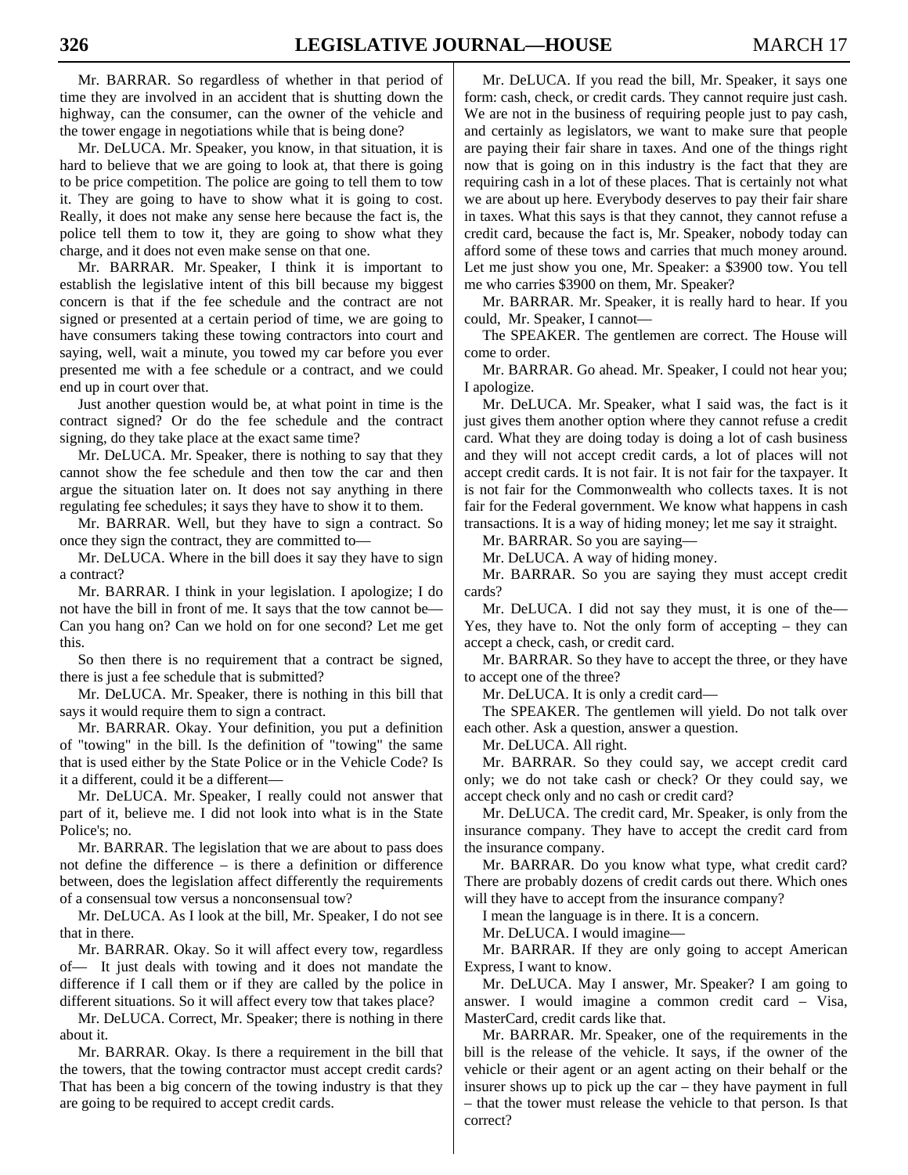Mr. BARRAR. So regardless of whether in that period of time they are involved in an accident that is shutting down the highway, can the consumer, can the owner of the vehicle and the tower engage in negotiations while that is being done?

 Mr. DeLUCA. Mr. Speaker, you know, in that situation, it is hard to believe that we are going to look at, that there is going to be price competition. The police are going to tell them to tow it. They are going to have to show what it is going to cost. Really, it does not make any sense here because the fact is, the police tell them to tow it, they are going to show what they charge, and it does not even make sense on that one.

 Mr. BARRAR. Mr. Speaker, I think it is important to establish the legislative intent of this bill because my biggest concern is that if the fee schedule and the contract are not signed or presented at a certain period of time, we are going to have consumers taking these towing contractors into court and saying, well, wait a minute, you towed my car before you ever presented me with a fee schedule or a contract, and we could end up in court over that.

 Just another question would be, at what point in time is the contract signed? Or do the fee schedule and the contract signing, do they take place at the exact same time?

 Mr. DeLUCA. Mr. Speaker, there is nothing to say that they cannot show the fee schedule and then tow the car and then argue the situation later on. It does not say anything in there regulating fee schedules; it says they have to show it to them.

 Mr. BARRAR. Well, but they have to sign a contract. So once they sign the contract, they are committed to—

 Mr. DeLUCA. Where in the bill does it say they have to sign a contract?

 Mr. BARRAR. I think in your legislation. I apologize; I do not have the bill in front of me. It says that the tow cannot be— Can you hang on? Can we hold on for one second? Let me get this.

 So then there is no requirement that a contract be signed, there is just a fee schedule that is submitted?

 Mr. DeLUCA. Mr. Speaker, there is nothing in this bill that says it would require them to sign a contract.

 Mr. BARRAR. Okay. Your definition, you put a definition of "towing" in the bill. Is the definition of "towing" the same that is used either by the State Police or in the Vehicle Code? Is it a different, could it be a different—

 Mr. DeLUCA. Mr. Speaker, I really could not answer that part of it, believe me. I did not look into what is in the State Police's; no.

 Mr. BARRAR. The legislation that we are about to pass does not define the difference – is there a definition or difference between, does the legislation affect differently the requirements of a consensual tow versus a nonconsensual tow?

 Mr. DeLUCA. As I look at the bill, Mr. Speaker, I do not see that in there.

 Mr. BARRAR. Okay. So it will affect every tow, regardless of— It just deals with towing and it does not mandate the difference if I call them or if they are called by the police in different situations. So it will affect every tow that takes place?

 Mr. DeLUCA. Correct, Mr. Speaker; there is nothing in there about it.

 Mr. BARRAR. Okay. Is there a requirement in the bill that the towers, that the towing contractor must accept credit cards? That has been a big concern of the towing industry is that they are going to be required to accept credit cards.

 Mr. DeLUCA. If you read the bill, Mr. Speaker, it says one form: cash, check, or credit cards. They cannot require just cash. We are not in the business of requiring people just to pay cash, and certainly as legislators, we want to make sure that people are paying their fair share in taxes. And one of the things right now that is going on in this industry is the fact that they are requiring cash in a lot of these places. That is certainly not what we are about up here. Everybody deserves to pay their fair share in taxes. What this says is that they cannot, they cannot refuse a credit card, because the fact is, Mr. Speaker, nobody today can afford some of these tows and carries that much money around. Let me just show you one, Mr. Speaker: a \$3900 tow. You tell me who carries \$3900 on them, Mr. Speaker?

 Mr. BARRAR. Mr. Speaker, it is really hard to hear. If you could, Mr. Speaker, I cannot—

 The SPEAKER. The gentlemen are correct. The House will come to order.

 Mr. BARRAR. Go ahead. Mr. Speaker, I could not hear you; I apologize.

 Mr. DeLUCA. Mr. Speaker, what I said was, the fact is it just gives them another option where they cannot refuse a credit card. What they are doing today is doing a lot of cash business and they will not accept credit cards, a lot of places will not accept credit cards. It is not fair. It is not fair for the taxpayer. It is not fair for the Commonwealth who collects taxes. It is not fair for the Federal government. We know what happens in cash transactions. It is a way of hiding money; let me say it straight.

Mr. BARRAR. So you are saying—

Mr. DeLUCA. A way of hiding money.

 Mr. BARRAR. So you are saying they must accept credit cards?

 Mr. DeLUCA. I did not say they must, it is one of the— Yes, they have to. Not the only form of accepting – they can accept a check, cash, or credit card.

 Mr. BARRAR. So they have to accept the three, or they have to accept one of the three?

Mr. DeLUCA. It is only a credit card—

 The SPEAKER. The gentlemen will yield. Do not talk over each other. Ask a question, answer a question.

Mr. DeLUCA. All right.

 Mr. BARRAR. So they could say, we accept credit card only; we do not take cash or check? Or they could say, we accept check only and no cash or credit card?

 Mr. DeLUCA. The credit card, Mr. Speaker, is only from the insurance company. They have to accept the credit card from the insurance company.

 Mr. BARRAR. Do you know what type, what credit card? There are probably dozens of credit cards out there. Which ones will they have to accept from the insurance company?

I mean the language is in there. It is a concern.

Mr. DeLUCA. I would imagine—

 Mr. BARRAR. If they are only going to accept American Express, I want to know.

 Mr. DeLUCA. May I answer, Mr. Speaker? I am going to answer. I would imagine a common credit card – Visa, MasterCard, credit cards like that.

 Mr. BARRAR. Mr. Speaker, one of the requirements in the bill is the release of the vehicle. It says, if the owner of the vehicle or their agent or an agent acting on their behalf or the insurer shows up to pick up the car – they have payment in full – that the tower must release the vehicle to that person. Is that correct?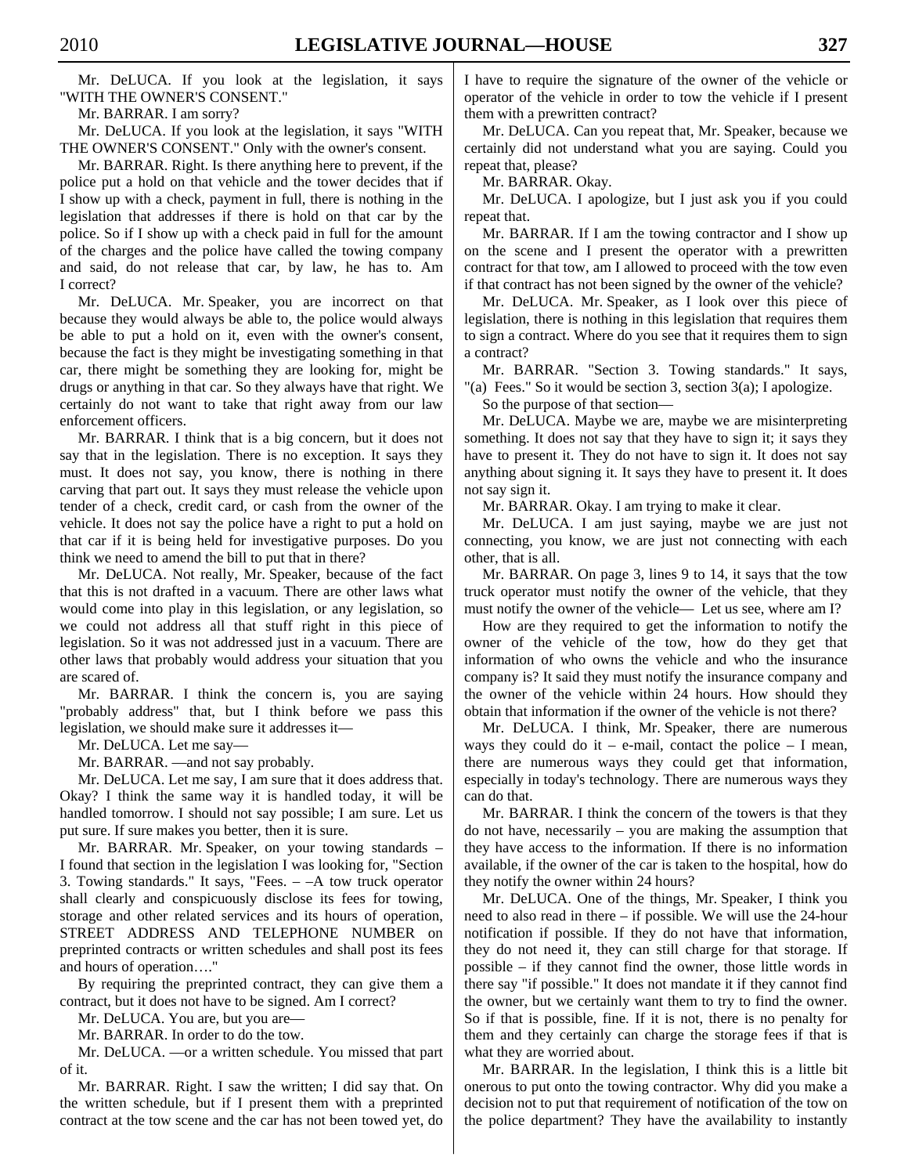Mr. DeLUCA. If you look at the legislation, it says "WITH THE OWNER'S CONSENT."

Mr. BARRAR. I am sorry?

 Mr. DeLUCA. If you look at the legislation, it says "WITH THE OWNER'S CONSENT." Only with the owner's consent.

 Mr. BARRAR. Right. Is there anything here to prevent, if the police put a hold on that vehicle and the tower decides that if I show up with a check, payment in full, there is nothing in the legislation that addresses if there is hold on that car by the police. So if I show up with a check paid in full for the amount of the charges and the police have called the towing company and said, do not release that car, by law, he has to. Am I correct?

 Mr. DeLUCA. Mr. Speaker, you are incorrect on that because they would always be able to, the police would always be able to put a hold on it, even with the owner's consent, because the fact is they might be investigating something in that car, there might be something they are looking for, might be drugs or anything in that car. So they always have that right. We certainly do not want to take that right away from our law enforcement officers.

 Mr. BARRAR. I think that is a big concern, but it does not say that in the legislation. There is no exception. It says they must. It does not say, you know, there is nothing in there carving that part out. It says they must release the vehicle upon tender of a check, credit card, or cash from the owner of the vehicle. It does not say the police have a right to put a hold on that car if it is being held for investigative purposes. Do you think we need to amend the bill to put that in there?

 Mr. DeLUCA. Not really, Mr. Speaker, because of the fact that this is not drafted in a vacuum. There are other laws what would come into play in this legislation, or any legislation, so we could not address all that stuff right in this piece of legislation. So it was not addressed just in a vacuum. There are other laws that probably would address your situation that you are scared of.

 Mr. BARRAR. I think the concern is, you are saying "probably address" that, but I think before we pass this legislation, we should make sure it addresses it—

Mr. DeLUCA. Let me say—

Mr. BARRAR. —and not say probably.

 Mr. DeLUCA. Let me say, I am sure that it does address that. Okay? I think the same way it is handled today, it will be handled tomorrow. I should not say possible; I am sure. Let us put sure. If sure makes you better, then it is sure.

 Mr. BARRAR. Mr. Speaker, on your towing standards – I found that section in the legislation I was looking for, "Section 3. Towing standards." It says, "Fees. – –A tow truck operator shall clearly and conspicuously disclose its fees for towing, storage and other related services and its hours of operation, STREET ADDRESS AND TELEPHONE NUMBER on preprinted contracts or written schedules and shall post its fees and hours of operation…."

 By requiring the preprinted contract, they can give them a contract, but it does not have to be signed. Am I correct?

Mr. DeLUCA. You are, but you are—

Mr. BARRAR. In order to do the tow.

 Mr. DeLUCA. —or a written schedule. You missed that part of it.

 Mr. BARRAR. Right. I saw the written; I did say that. On the written schedule, but if I present them with a preprinted contract at the tow scene and the car has not been towed yet, do

I have to require the signature of the owner of the vehicle or operator of the vehicle in order to tow the vehicle if I present them with a prewritten contract?

 Mr. DeLUCA. Can you repeat that, Mr. Speaker, because we certainly did not understand what you are saying. Could you repeat that, please?

Mr. BARRAR. Okay.

 Mr. DeLUCA. I apologize, but I just ask you if you could repeat that.

 Mr. BARRAR. If I am the towing contractor and I show up on the scene and I present the operator with a prewritten contract for that tow, am I allowed to proceed with the tow even if that contract has not been signed by the owner of the vehicle?

 Mr. DeLUCA. Mr. Speaker, as I look over this piece of legislation, there is nothing in this legislation that requires them to sign a contract. Where do you see that it requires them to sign a contract?

 Mr. BARRAR. "Section 3. Towing standards." It says, "(a) Fees." So it would be section 3, section 3(a); I apologize.

So the purpose of that section—

 Mr. DeLUCA. Maybe we are, maybe we are misinterpreting something. It does not say that they have to sign it; it says they have to present it. They do not have to sign it. It does not say anything about signing it. It says they have to present it. It does not say sign it.

Mr. BARRAR. Okay. I am trying to make it clear.

 Mr. DeLUCA. I am just saying, maybe we are just not connecting, you know, we are just not connecting with each other, that is all.

 Mr. BARRAR. On page 3, lines 9 to 14, it says that the tow truck operator must notify the owner of the vehicle, that they must notify the owner of the vehicle— Let us see, where am I?

 How are they required to get the information to notify the owner of the vehicle of the tow, how do they get that information of who owns the vehicle and who the insurance company is? It said they must notify the insurance company and the owner of the vehicle within 24 hours. How should they obtain that information if the owner of the vehicle is not there?

 Mr. DeLUCA. I think, Mr. Speaker, there are numerous ways they could do it – e-mail, contact the police – I mean, there are numerous ways they could get that information, especially in today's technology. There are numerous ways they can do that.

 Mr. BARRAR. I think the concern of the towers is that they do not have, necessarily – you are making the assumption that they have access to the information. If there is no information available, if the owner of the car is taken to the hospital, how do they notify the owner within 24 hours?

 Mr. DeLUCA. One of the things, Mr. Speaker, I think you need to also read in there – if possible. We will use the 24-hour notification if possible. If they do not have that information, they do not need it, they can still charge for that storage. If possible – if they cannot find the owner, those little words in there say "if possible." It does not mandate it if they cannot find the owner, but we certainly want them to try to find the owner. So if that is possible, fine. If it is not, there is no penalty for them and they certainly can charge the storage fees if that is what they are worried about.

 Mr. BARRAR. In the legislation, I think this is a little bit onerous to put onto the towing contractor. Why did you make a decision not to put that requirement of notification of the tow on the police department? They have the availability to instantly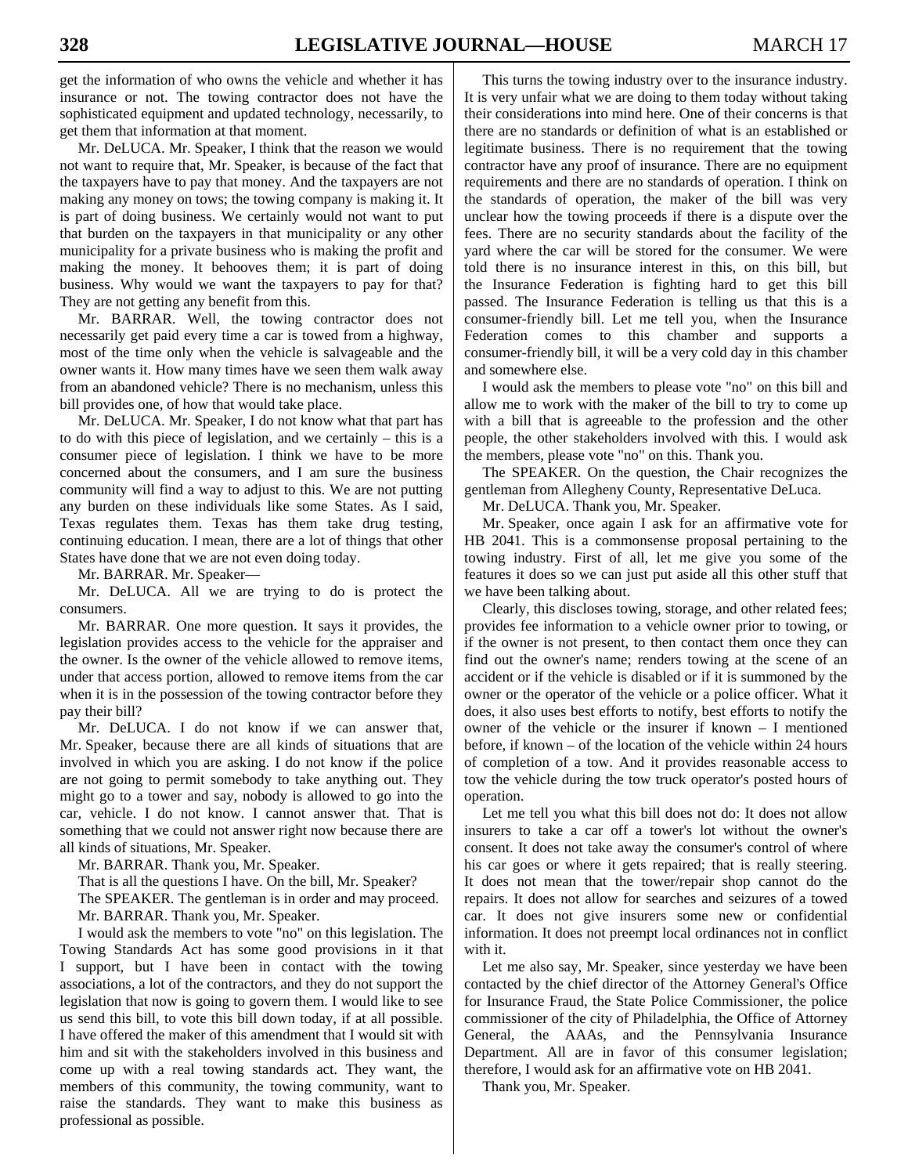get the information of who owns the vehicle and whether it has insurance or not. The towing contractor does not have the sophisticated equipment and updated technology, necessarily, to get them that information at that moment.

 Mr. DeLUCA. Mr. Speaker, I think that the reason we would not want to require that, Mr. Speaker, is because of the fact that the taxpayers have to pay that money. And the taxpayers are not making any money on tows; the towing company is making it. It is part of doing business. We certainly would not want to put that burden on the taxpayers in that municipality or any other municipality for a private business who is making the profit and making the money. It behooves them; it is part of doing business. Why would we want the taxpayers to pay for that? They are not getting any benefit from this.

 Mr. BARRAR. Well, the towing contractor does not necessarily get paid every time a car is towed from a highway, most of the time only when the vehicle is salvageable and the owner wants it. How many times have we seen them walk away from an abandoned vehicle? There is no mechanism, unless this bill provides one, of how that would take place.

 Mr. DeLUCA. Mr. Speaker, I do not know what that part has to do with this piece of legislation, and we certainly – this is a consumer piece of legislation. I think we have to be more concerned about the consumers, and I am sure the business community will find a way to adjust to this. We are not putting any burden on these individuals like some States. As I said, Texas regulates them. Texas has them take drug testing, continuing education. I mean, there are a lot of things that other States have done that we are not even doing today.

Mr. BARRAR. Mr. Speaker—

 Mr. DeLUCA. All we are trying to do is protect the consumers.

 Mr. BARRAR. One more question. It says it provides, the legislation provides access to the vehicle for the appraiser and the owner. Is the owner of the vehicle allowed to remove items, under that access portion, allowed to remove items from the car when it is in the possession of the towing contractor before they pay their bill?

 Mr. DeLUCA. I do not know if we can answer that, Mr. Speaker, because there are all kinds of situations that are involved in which you are asking. I do not know if the police are not going to permit somebody to take anything out. They might go to a tower and say, nobody is allowed to go into the car, vehicle. I do not know. I cannot answer that. That is something that we could not answer right now because there are all kinds of situations, Mr. Speaker.

Mr. BARRAR. Thank you, Mr. Speaker.

That is all the questions I have. On the bill, Mr. Speaker?

 The SPEAKER. The gentleman is in order and may proceed. Mr. BARRAR. Thank you, Mr. Speaker.

 I would ask the members to vote "no" on this legislation. The Towing Standards Act has some good provisions in it that I support, but I have been in contact with the towing associations, a lot of the contractors, and they do not support the legislation that now is going to govern them. I would like to see us send this bill, to vote this bill down today, if at all possible. I have offered the maker of this amendment that I would sit with him and sit with the stakeholders involved in this business and come up with a real towing standards act. They want, the members of this community, the towing community, want to raise the standards. They want to make this business as professional as possible.

 This turns the towing industry over to the insurance industry. It is very unfair what we are doing to them today without taking their considerations into mind here. One of their concerns is that there are no standards or definition of what is an established or legitimate business. There is no requirement that the towing contractor have any proof of insurance. There are no equipment requirements and there are no standards of operation. I think on the standards of operation, the maker of the bill was very unclear how the towing proceeds if there is a dispute over the fees. There are no security standards about the facility of the yard where the car will be stored for the consumer. We were told there is no insurance interest in this, on this bill, but the Insurance Federation is fighting hard to get this bill passed. The Insurance Federation is telling us that this is a consumer-friendly bill. Let me tell you, when the Insurance Federation comes to this chamber and supports a consumer-friendly bill, it will be a very cold day in this chamber and somewhere else.

 I would ask the members to please vote "no" on this bill and allow me to work with the maker of the bill to try to come up with a bill that is agreeable to the profession and the other people, the other stakeholders involved with this. I would ask the members, please vote "no" on this. Thank you.

 The SPEAKER. On the question, the Chair recognizes the gentleman from Allegheny County, Representative DeLuca.

Mr. DeLUCA. Thank you, Mr. Speaker.

 Mr. Speaker, once again I ask for an affirmative vote for HB 2041. This is a commonsense proposal pertaining to the towing industry. First of all, let me give you some of the features it does so we can just put aside all this other stuff that we have been talking about.

 Clearly, this discloses towing, storage, and other related fees; provides fee information to a vehicle owner prior to towing, or if the owner is not present, to then contact them once they can find out the owner's name; renders towing at the scene of an accident or if the vehicle is disabled or if it is summoned by the owner or the operator of the vehicle or a police officer. What it does, it also uses best efforts to notify, best efforts to notify the owner of the vehicle or the insurer if known – I mentioned before, if known – of the location of the vehicle within 24 hours of completion of a tow. And it provides reasonable access to tow the vehicle during the tow truck operator's posted hours of operation.

 Let me tell you what this bill does not do: It does not allow insurers to take a car off a tower's lot without the owner's consent. It does not take away the consumer's control of where his car goes or where it gets repaired; that is really steering. It does not mean that the tower/repair shop cannot do the repairs. It does not allow for searches and seizures of a towed car. It does not give insurers some new or confidential information. It does not preempt local ordinances not in conflict with it.

 Let me also say, Mr. Speaker, since yesterday we have been contacted by the chief director of the Attorney General's Office for Insurance Fraud, the State Police Commissioner, the police commissioner of the city of Philadelphia, the Office of Attorney General, the AAAs, and the Pennsylvania Insurance Department. All are in favor of this consumer legislation; therefore, I would ask for an affirmative vote on HB 2041.

Thank you, Mr. Speaker.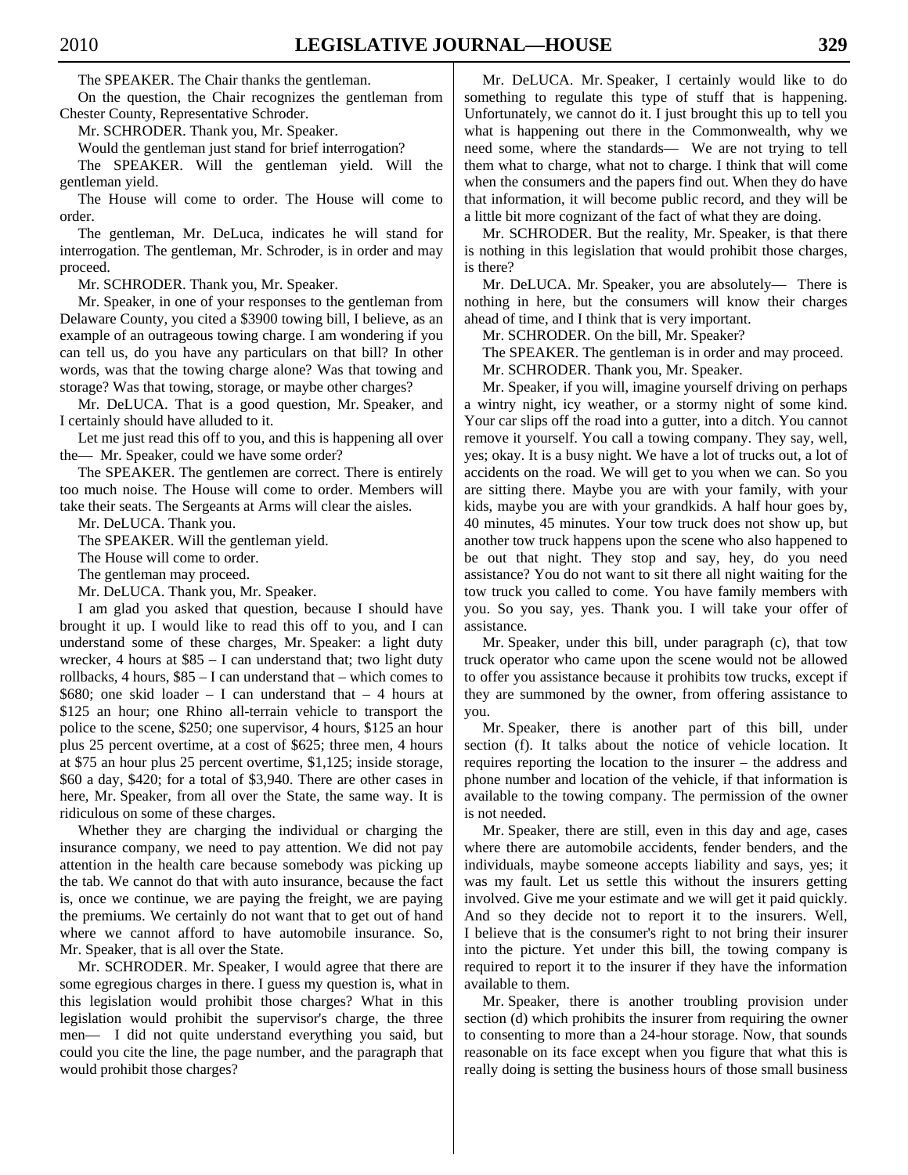The SPEAKER. The Chair thanks the gentleman.

 On the question, the Chair recognizes the gentleman from Chester County, Representative Schroder.

Mr. SCHRODER. Thank you, Mr. Speaker.

Would the gentleman just stand for brief interrogation?

 The SPEAKER. Will the gentleman yield. Will the gentleman yield.

 The House will come to order. The House will come to order.

 The gentleman, Mr. DeLuca, indicates he will stand for interrogation. The gentleman, Mr. Schroder, is in order and may proceed.

Mr. SCHRODER. Thank you, Mr. Speaker.

 Mr. Speaker, in one of your responses to the gentleman from Delaware County, you cited a \$3900 towing bill, I believe, as an example of an outrageous towing charge. I am wondering if you can tell us, do you have any particulars on that bill? In other words, was that the towing charge alone? Was that towing and storage? Was that towing, storage, or maybe other charges?

 Mr. DeLUCA. That is a good question, Mr. Speaker, and I certainly should have alluded to it.

 Let me just read this off to you, and this is happening all over the— Mr. Speaker, could we have some order?

 The SPEAKER. The gentlemen are correct. There is entirely too much noise. The House will come to order. Members will take their seats. The Sergeants at Arms will clear the aisles.

Mr. DeLUCA. Thank you.

The SPEAKER. Will the gentleman yield.

The House will come to order.

The gentleman may proceed.

Mr. DeLUCA. Thank you, Mr. Speaker.

 I am glad you asked that question, because I should have brought it up. I would like to read this off to you, and I can understand some of these charges, Mr. Speaker: a light duty wrecker, 4 hours at  $$85 - I$  can understand that; two light duty rollbacks, 4 hours, \$85 – I can understand that – which comes to  $$680$ ; one skid loader – I can understand that – 4 hours at \$125 an hour; one Rhino all-terrain vehicle to transport the police to the scene, \$250; one supervisor, 4 hours, \$125 an hour plus 25 percent overtime, at a cost of \$625; three men, 4 hours at \$75 an hour plus 25 percent overtime, \$1,125; inside storage, \$60 a day, \$420; for a total of \$3,940. There are other cases in here, Mr. Speaker, from all over the State, the same way. It is ridiculous on some of these charges.

 Whether they are charging the individual or charging the insurance company, we need to pay attention. We did not pay attention in the health care because somebody was picking up the tab. We cannot do that with auto insurance, because the fact is, once we continue, we are paying the freight, we are paying the premiums. We certainly do not want that to get out of hand where we cannot afford to have automobile insurance. So, Mr. Speaker, that is all over the State.

 Mr. SCHRODER. Mr. Speaker, I would agree that there are some egregious charges in there. I guess my question is, what in this legislation would prohibit those charges? What in this legislation would prohibit the supervisor's charge, the three men— I did not quite understand everything you said, but could you cite the line, the page number, and the paragraph that would prohibit those charges?

 Mr. DeLUCA. Mr. Speaker, I certainly would like to do something to regulate this type of stuff that is happening. Unfortunately, we cannot do it. I just brought this up to tell you what is happening out there in the Commonwealth, why we need some, where the standards— We are not trying to tell them what to charge, what not to charge. I think that will come when the consumers and the papers find out. When they do have that information, it will become public record, and they will be a little bit more cognizant of the fact of what they are doing.

 Mr. SCHRODER. But the reality, Mr. Speaker, is that there is nothing in this legislation that would prohibit those charges, is there?

 Mr. DeLUCA. Mr. Speaker, you are absolutely— There is nothing in here, but the consumers will know their charges ahead of time, and I think that is very important.

Mr. SCHRODER. On the bill, Mr. Speaker?

The SPEAKER. The gentleman is in order and may proceed.

Mr. SCHRODER. Thank you, Mr. Speaker.

 Mr. Speaker, if you will, imagine yourself driving on perhaps a wintry night, icy weather, or a stormy night of some kind. Your car slips off the road into a gutter, into a ditch. You cannot remove it yourself. You call a towing company. They say, well, yes; okay. It is a busy night. We have a lot of trucks out, a lot of accidents on the road. We will get to you when we can. So you are sitting there. Maybe you are with your family, with your kids, maybe you are with your grandkids. A half hour goes by, 40 minutes, 45 minutes. Your tow truck does not show up, but another tow truck happens upon the scene who also happened to be out that night. They stop and say, hey, do you need assistance? You do not want to sit there all night waiting for the tow truck you called to come. You have family members with you. So you say, yes. Thank you. I will take your offer of assistance.

 Mr. Speaker, under this bill, under paragraph (c), that tow truck operator who came upon the scene would not be allowed to offer you assistance because it prohibits tow trucks, except if they are summoned by the owner, from offering assistance to you.

 Mr. Speaker, there is another part of this bill, under section (f). It talks about the notice of vehicle location. It requires reporting the location to the insurer – the address and phone number and location of the vehicle, if that information is available to the towing company. The permission of the owner is not needed.

 Mr. Speaker, there are still, even in this day and age, cases where there are automobile accidents, fender benders, and the individuals, maybe someone accepts liability and says, yes; it was my fault. Let us settle this without the insurers getting involved. Give me your estimate and we will get it paid quickly. And so they decide not to report it to the insurers. Well, I believe that is the consumer's right to not bring their insurer into the picture. Yet under this bill, the towing company is required to report it to the insurer if they have the information available to them.

 Mr. Speaker, there is another troubling provision under section (d) which prohibits the insurer from requiring the owner to consenting to more than a 24-hour storage. Now, that sounds reasonable on its face except when you figure that what this is really doing is setting the business hours of those small business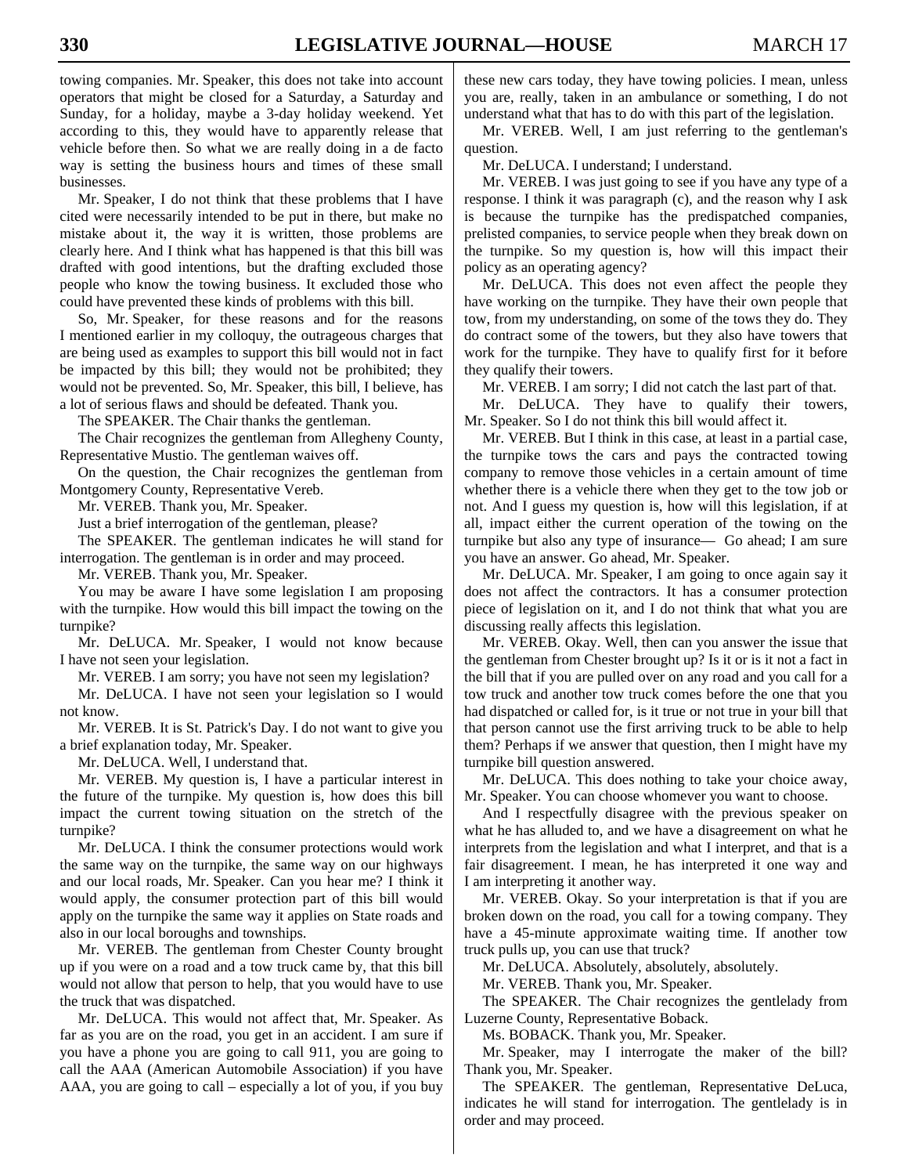towing companies. Mr. Speaker, this does not take into account operators that might be closed for a Saturday, a Saturday and Sunday, for a holiday, maybe a 3-day holiday weekend. Yet according to this, they would have to apparently release that vehicle before then. So what we are really doing in a de facto way is setting the business hours and times of these small businesses.

 Mr. Speaker, I do not think that these problems that I have cited were necessarily intended to be put in there, but make no mistake about it, the way it is written, those problems are clearly here. And I think what has happened is that this bill was drafted with good intentions, but the drafting excluded those people who know the towing business. It excluded those who could have prevented these kinds of problems with this bill.

 So, Mr. Speaker, for these reasons and for the reasons I mentioned earlier in my colloquy, the outrageous charges that are being used as examples to support this bill would not in fact be impacted by this bill; they would not be prohibited; they would not be prevented. So, Mr. Speaker, this bill, I believe, has a lot of serious flaws and should be defeated. Thank you.

The SPEAKER. The Chair thanks the gentleman.

 The Chair recognizes the gentleman from Allegheny County, Representative Mustio. The gentleman waives off.

 On the question, the Chair recognizes the gentleman from Montgomery County, Representative Vereb.

Mr. VEREB. Thank you, Mr. Speaker.

Just a brief interrogation of the gentleman, please?

 The SPEAKER. The gentleman indicates he will stand for interrogation. The gentleman is in order and may proceed.

Mr. VEREB. Thank you, Mr. Speaker.

 You may be aware I have some legislation I am proposing with the turnpike. How would this bill impact the towing on the turnpike?

 Mr. DeLUCA. Mr. Speaker, I would not know because I have not seen your legislation.

Mr. VEREB. I am sorry; you have not seen my legislation?

 Mr. DeLUCA. I have not seen your legislation so I would not know.

 Mr. VEREB. It is St. Patrick's Day. I do not want to give you a brief explanation today, Mr. Speaker.

Mr. DeLUCA. Well, I understand that.

 Mr. VEREB. My question is, I have a particular interest in the future of the turnpike. My question is, how does this bill impact the current towing situation on the stretch of the turnpike?

 Mr. DeLUCA. I think the consumer protections would work the same way on the turnpike, the same way on our highways and our local roads, Mr. Speaker. Can you hear me? I think it would apply, the consumer protection part of this bill would apply on the turnpike the same way it applies on State roads and also in our local boroughs and townships.

 Mr. VEREB. The gentleman from Chester County brought up if you were on a road and a tow truck came by, that this bill would not allow that person to help, that you would have to use the truck that was dispatched.

 Mr. DeLUCA. This would not affect that, Mr. Speaker. As far as you are on the road, you get in an accident. I am sure if you have a phone you are going to call 911, you are going to call the AAA (American Automobile Association) if you have AAA, you are going to call – especially a lot of you, if you buy these new cars today, they have towing policies. I mean, unless you are, really, taken in an ambulance or something, I do not understand what that has to do with this part of the legislation.

 Mr. VEREB. Well, I am just referring to the gentleman's question.

Mr. DeLUCA. I understand; I understand.

 Mr. VEREB. I was just going to see if you have any type of a response. I think it was paragraph (c), and the reason why I ask is because the turnpike has the predispatched companies, prelisted companies, to service people when they break down on the turnpike. So my question is, how will this impact their policy as an operating agency?

 Mr. DeLUCA. This does not even affect the people they have working on the turnpike. They have their own people that tow, from my understanding, on some of the tows they do. They do contract some of the towers, but they also have towers that work for the turnpike. They have to qualify first for it before they qualify their towers.

Mr. VEREB. I am sorry; I did not catch the last part of that.

 Mr. DeLUCA. They have to qualify their towers, Mr. Speaker. So I do not think this bill would affect it.

 Mr. VEREB. But I think in this case, at least in a partial case, the turnpike tows the cars and pays the contracted towing company to remove those vehicles in a certain amount of time whether there is a vehicle there when they get to the tow job or not. And I guess my question is, how will this legislation, if at all, impact either the current operation of the towing on the turnpike but also any type of insurance— Go ahead; I am sure you have an answer. Go ahead, Mr. Speaker.

 Mr. DeLUCA. Mr. Speaker, I am going to once again say it does not affect the contractors. It has a consumer protection piece of legislation on it, and I do not think that what you are discussing really affects this legislation.

 Mr. VEREB. Okay. Well, then can you answer the issue that the gentleman from Chester brought up? Is it or is it not a fact in the bill that if you are pulled over on any road and you call for a tow truck and another tow truck comes before the one that you had dispatched or called for, is it true or not true in your bill that that person cannot use the first arriving truck to be able to help them? Perhaps if we answer that question, then I might have my turnpike bill question answered.

 Mr. DeLUCA. This does nothing to take your choice away, Mr. Speaker. You can choose whomever you want to choose.

 And I respectfully disagree with the previous speaker on what he has alluded to, and we have a disagreement on what he interprets from the legislation and what I interpret, and that is a fair disagreement. I mean, he has interpreted it one way and I am interpreting it another way.

 Mr. VEREB. Okay. So your interpretation is that if you are broken down on the road, you call for a towing company. They have a 45-minute approximate waiting time. If another tow truck pulls up, you can use that truck?

Mr. DeLUCA. Absolutely, absolutely, absolutely.

Mr. VEREB. Thank you, Mr. Speaker.

 The SPEAKER. The Chair recognizes the gentlelady from Luzerne County, Representative Boback.

Ms. BOBACK. Thank you, Mr. Speaker.

 Mr. Speaker, may I interrogate the maker of the bill? Thank you, Mr. Speaker.

 The SPEAKER. The gentleman, Representative DeLuca, indicates he will stand for interrogation. The gentlelady is in order and may proceed.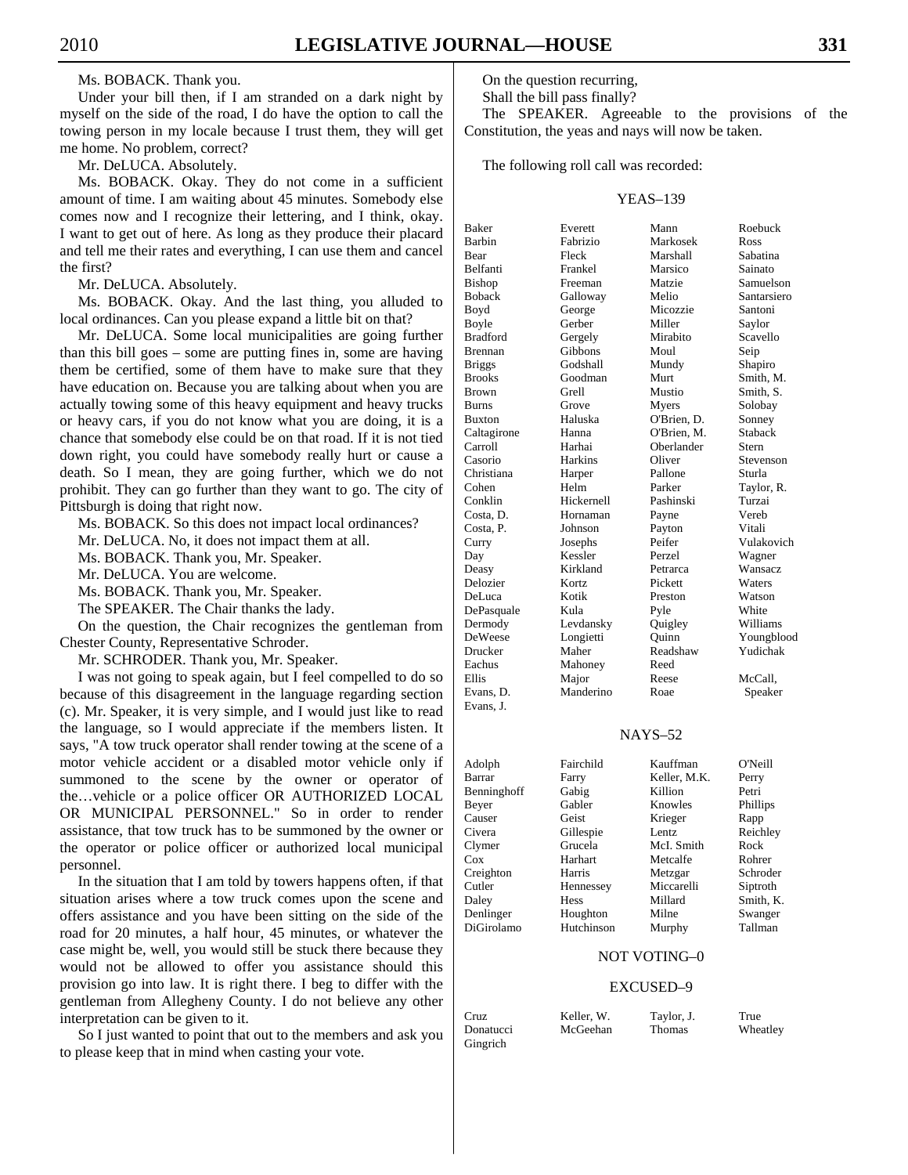Ms. BOBACK. Thank you.

 Under your bill then, if I am stranded on a dark night by myself on the side of the road, I do have the option to call the towing person in my locale because I trust them, they will get me home. No problem, correct?

Mr. DeLUCA. Absolutely.

 Ms. BOBACK. Okay. They do not come in a sufficient amount of time. I am waiting about 45 minutes. Somebody else comes now and I recognize their lettering, and I think, okay. I want to get out of here. As long as they produce their placard and tell me their rates and everything, I can use them and cancel the first?

Mr. DeLUCA. Absolutely.

 Ms. BOBACK. Okay. And the last thing, you alluded to local ordinances. Can you please expand a little bit on that?

 Mr. DeLUCA. Some local municipalities are going further than this bill goes – some are putting fines in, some are having them be certified, some of them have to make sure that they have education on. Because you are talking about when you are actually towing some of this heavy equipment and heavy trucks or heavy cars, if you do not know what you are doing, it is a chance that somebody else could be on that road. If it is not tied down right, you could have somebody really hurt or cause a death. So I mean, they are going further, which we do not prohibit. They can go further than they want to go. The city of Pittsburgh is doing that right now.

Ms. BOBACK. So this does not impact local ordinances?

Mr. DeLUCA. No, it does not impact them at all.

Ms. BOBACK. Thank you, Mr. Speaker.

Mr. DeLUCA. You are welcome.

Ms. BOBACK. Thank you, Mr. Speaker.

The SPEAKER. The Chair thanks the lady.

 On the question, the Chair recognizes the gentleman from Chester County, Representative Schroder.

Mr. SCHRODER. Thank you, Mr. Speaker.

 I was not going to speak again, but I feel compelled to do so because of this disagreement in the language regarding section (c). Mr. Speaker, it is very simple, and I would just like to read the language, so I would appreciate if the members listen. It says, "A tow truck operator shall render towing at the scene of a motor vehicle accident or a disabled motor vehicle only if summoned to the scene by the owner or operator of the…vehicle or a police officer OR AUTHORIZED LOCAL OR MUNICIPAL PERSONNEL." So in order to render assistance, that tow truck has to be summoned by the owner or the operator or police officer or authorized local municipal personnel.

 In the situation that I am told by towers happens often, if that situation arises where a tow truck comes upon the scene and offers assistance and you have been sitting on the side of the road for 20 minutes, a half hour, 45 minutes, or whatever the case might be, well, you would still be stuck there because they would not be allowed to offer you assistance should this provision go into law. It is right there. I beg to differ with the gentleman from Allegheny County. I do not believe any other interpretation can be given to it.

 So I just wanted to point that out to the members and ask you to please keep that in mind when casting your vote.

On the question recurring,

Shall the bill pass finally?

 The SPEAKER. Agreeable to the provisions of the Constitution, the yeas and nays will now be taken.

The following roll call was recorded:

#### YEAS–139

| Baker           | Everett    | Mann        | Roebuck     |
|-----------------|------------|-------------|-------------|
| <b>Barbin</b>   | Fabrizio   | Markosek    | Ross        |
| Bear            | Fleck      | Marshall    | Sabatina    |
| <b>Belfanti</b> | Frankel    | Marsico     | Sainato     |
| Bishop          | Freeman    | Matzie      | Samuelson   |
| <b>Boback</b>   | Galloway   | Melio       | Santarsiero |
| Boyd            | George     | Micozzie    | Santoni     |
| Boyle           | Gerber     | Miller      | Saylor      |
| <b>Bradford</b> | Gergely    | Mirabito    | Scavello    |
| Brennan         | Gibbons    | Moul        | Seip        |
| <b>Briggs</b>   | Godshall   | Mundy       | Shapiro     |
| <b>Brooks</b>   | Goodman    | Murt        | Smith, M.   |
| <b>Brown</b>    | Grell      | Mustio      | Smith. S.   |
| <b>Burns</b>    | Grove      | Myers       | Solobay     |
| <b>Buxton</b>   | Haluska    | O'Brien, D. | Sonney      |
| Caltagirone     | Hanna      | O'Brien, M. | Staback     |
| Carroll         | Harhai     | Oberlander  | Stern       |
| Casorio         | Harkins    | Oliver      | Stevenson   |
| Christiana      | Harper     | Pallone     | Sturla      |
| Cohen           | Helm       | Parker      | Taylor, R.  |
| Conklin         | Hickernell | Pashinski   | Turzai      |
| Costa, D.       | Hornaman   | Payne       | Vereb       |
| Costa, P.       | Johnson    | Payton      | Vitali      |
| Curry           | Josephs    | Peifer      | Vulakovich  |
| Day             | Kessler    | Perzel      | Wagner      |
| Deasy           | Kirkland   | Petrarca    | Wansacz     |
| Delozier        | Kortz      | Pickett     | Waters      |
| DeLuca          | Kotik      | Preston     | Watson      |
| DePasquale      | Kula       | Pyle        | White       |
| Dermody         | Levdansky  | Quigley     | Williams    |
| DeWeese         | Longietti  | Ouinn       | Youngblood  |
| Drucker         | Maher      | Readshaw    | Yudichak    |
| Eachus          | Mahoney    | Reed        |             |
| Ellis           | Major      | Reese       | McCall,     |
| Evans, D.       | Manderino  | Roae        | Speaker     |
| Evans. J.       |            |             |             |

# NAYS–52

| Adolph      | Fairchild   | Kauffman     | O'Neill   |
|-------------|-------------|--------------|-----------|
| Barrar      | Farry       | Keller, M.K. | Perry     |
| Benninghoff | Gabig       | Killion      | Petri     |
| Beyer       | Gabler      | Knowles      | Phillips  |
| Causer      | Geist       | Krieger      | Rapp      |
| Civera      | Gillespie   | Lentz.       | Reichley  |
| Clymer      | Grucela     | McI. Smith   | Rock      |
| Cox         | Harhart     | Metcalfe     | Rohrer    |
| Creighton   | Harris      | Metzgar      | Schroder  |
| Cutler      | Hennessey   | Miccarelli   | Siptroth  |
| Daley       | <b>Hess</b> | Millard      | Smith, K. |
| Denlinger   | Houghton    | Milne        | Swanger   |
| DiGirolamo  | Hutchinson  | Murphy       | Tallman   |

#### NOT VOTING–0

## EXCUSED–9

|  | Cruz      | Keller. W. | Taylor, J. | True     |
|--|-----------|------------|------------|----------|
|  | Donatucci | McGeehan   | Thomas     | Wheatley |
|  | Gingrich  |            |            |          |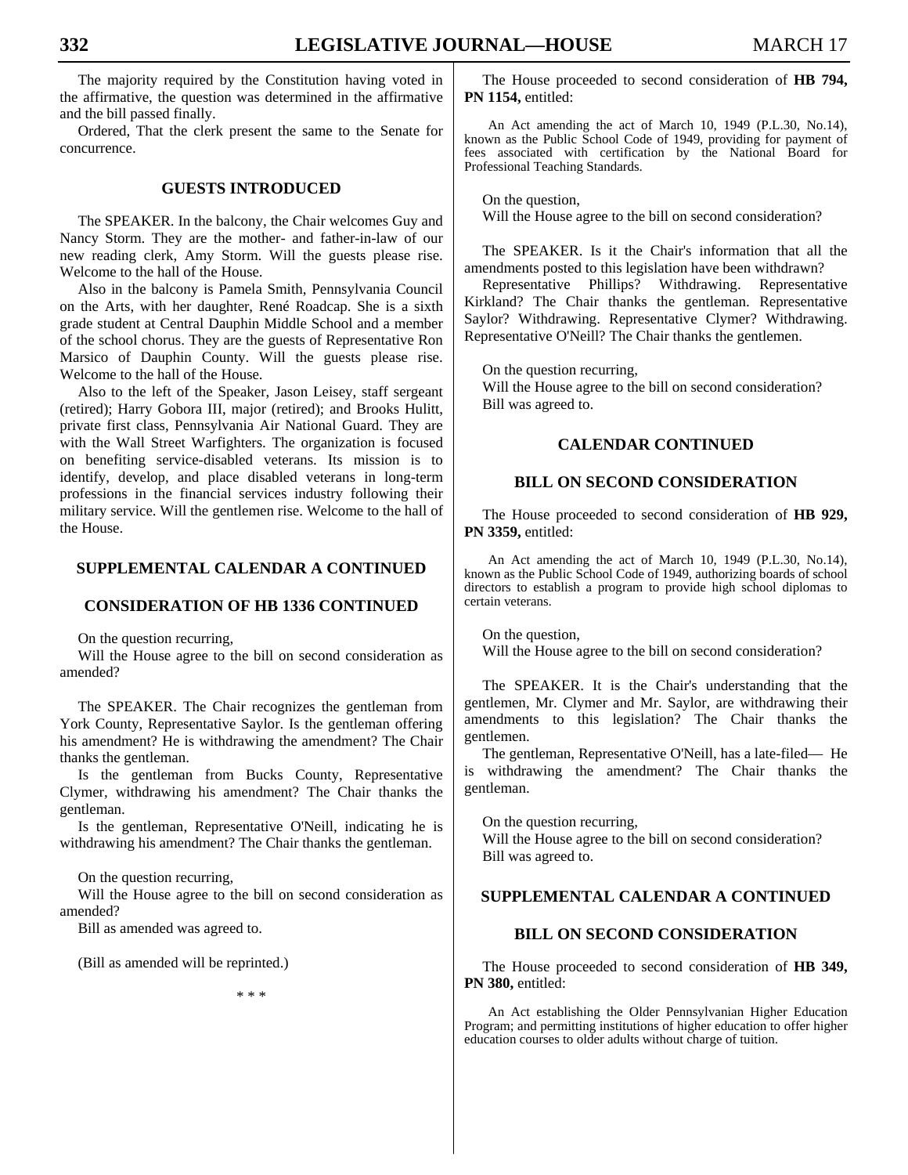The majority required by the Constitution having voted in the affirmative, the question was determined in the affirmative and the bill passed finally.

 Ordered, That the clerk present the same to the Senate for concurrence.

# **GUESTS INTRODUCED**

 The SPEAKER. In the balcony, the Chair welcomes Guy and Nancy Storm. They are the mother- and father-in-law of our new reading clerk, Amy Storm. Will the guests please rise. Welcome to the hall of the House.

 Also in the balcony is Pamela Smith, Pennsylvania Council on the Arts, with her daughter, René Roadcap. She is a sixth grade student at Central Dauphin Middle School and a member of the school chorus. They are the guests of Representative Ron Marsico of Dauphin County. Will the guests please rise. Welcome to the hall of the House.

 Also to the left of the Speaker, Jason Leisey, staff sergeant (retired); Harry Gobora III, major (retired); and Brooks Hulitt, private first class, Pennsylvania Air National Guard. They are with the Wall Street Warfighters. The organization is focused on benefiting service-disabled veterans. Its mission is to identify, develop, and place disabled veterans in long-term professions in the financial services industry following their military service. Will the gentlemen rise. Welcome to the hall of the House.

# **SUPPLEMENTAL CALENDAR A CONTINUED**

# **CONSIDERATION OF HB 1336 CONTINUED**

On the question recurring,

 Will the House agree to the bill on second consideration as amended?

 The SPEAKER. The Chair recognizes the gentleman from York County, Representative Saylor. Is the gentleman offering his amendment? He is withdrawing the amendment? The Chair thanks the gentleman.

 Is the gentleman from Bucks County, Representative Clymer, withdrawing his amendment? The Chair thanks the gentleman.

 Is the gentleman, Representative O'Neill, indicating he is withdrawing his amendment? The Chair thanks the gentleman.

On the question recurring,

 Will the House agree to the bill on second consideration as amended?

Bill as amended was agreed to.

(Bill as amended will be reprinted.)

\* \* \*

 The House proceeded to second consideration of **HB 794, PN 1154,** entitled:

An Act amending the act of March 10, 1949 (P.L.30, No.14), known as the Public School Code of 1949, providing for payment of fees associated with certification by the National Board for Professional Teaching Standards.

On the question.

Will the House agree to the bill on second consideration?

 The SPEAKER. Is it the Chair's information that all the amendments posted to this legislation have been withdrawn?

 Representative Phillips? Withdrawing. Representative Kirkland? The Chair thanks the gentleman. Representative Saylor? Withdrawing. Representative Clymer? Withdrawing. Representative O'Neill? The Chair thanks the gentlemen.

On the question recurring,

 Will the House agree to the bill on second consideration? Bill was agreed to.

# **CALENDAR CONTINUED**

# **BILL ON SECOND CONSIDERATION**

 The House proceeded to second consideration of **HB 929, PN 3359,** entitled:

An Act amending the act of March 10, 1949 (P.L.30, No.14), known as the Public School Code of 1949, authorizing boards of school directors to establish a program to provide high school diplomas to certain veterans.

 On the question, Will the House agree to the bill on second consideration?

 The SPEAKER. It is the Chair's understanding that the gentlemen, Mr. Clymer and Mr. Saylor, are withdrawing their amendments to this legislation? The Chair thanks the gentlemen.

 The gentleman, Representative O'Neill, has a late-filed— He is withdrawing the amendment? The Chair thanks the gentleman.

 On the question recurring, Will the House agree to the bill on second consideration? Bill was agreed to.

# **SUPPLEMENTAL CALENDAR A CONTINUED**

## **BILL ON SECOND CONSIDERATION**

 The House proceeded to second consideration of **HB 349, PN 380,** entitled:

An Act establishing the Older Pennsylvanian Higher Education Program; and permitting institutions of higher education to offer higher education courses to older adults without charge of tuition.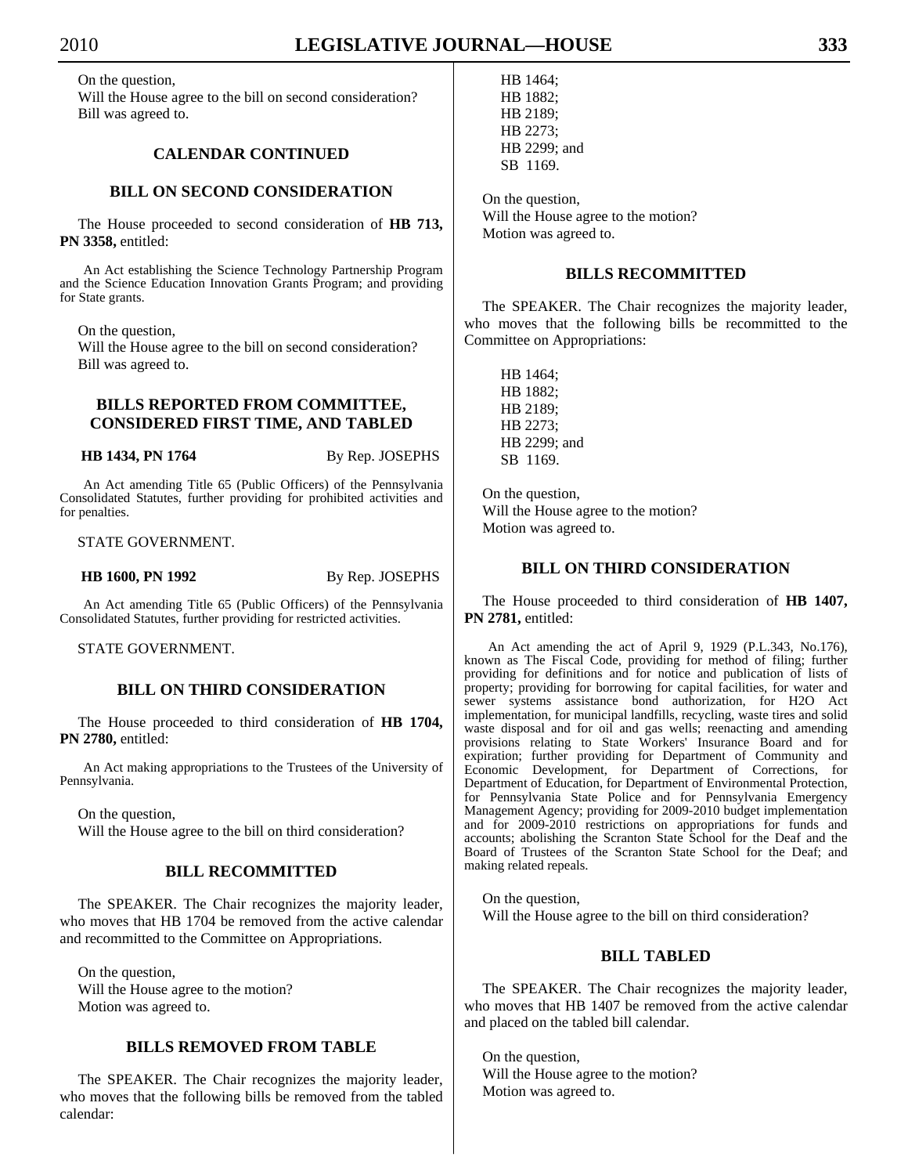On the question, Will the House agree to the bill on second consideration? Bill was agreed to.

# **CALENDAR CONTINUED**

# **BILL ON SECOND CONSIDERATION**

 The House proceeded to second consideration of **HB 713, PN 3358,** entitled:

An Act establishing the Science Technology Partnership Program and the Science Education Innovation Grants Program; and providing for State grants.

On the question,

 Will the House agree to the bill on second consideration? Bill was agreed to.

# **BILLS REPORTED FROM COMMITTEE, CONSIDERED FIRST TIME, AND TABLED**

## **HB 1434, PN 1764** By Rep. JOSEPHS

An Act amending Title 65 (Public Officers) of the Pennsylvania Consolidated Statutes, further providing for prohibited activities and for penalties.

## STATE GOVERNMENT.

**HB 1600, PN 1992** By Rep. JOSEPHS

An Act amending Title 65 (Public Officers) of the Pennsylvania Consolidated Statutes, further providing for restricted activities.

STATE GOVERNMENT.

# **BILL ON THIRD CONSIDERATION**

 The House proceeded to third consideration of **HB 1704, PN 2780,** entitled:

An Act making appropriations to the Trustees of the University of Pennsylvania.

 On the question, Will the House agree to the bill on third consideration?

# **BILL RECOMMITTED**

 The SPEAKER. The Chair recognizes the majority leader, who moves that HB 1704 be removed from the active calendar and recommitted to the Committee on Appropriations.

 On the question, Will the House agree to the motion? Motion was agreed to.

# **BILLS REMOVED FROM TABLE**

 The SPEAKER. The Chair recognizes the majority leader, who moves that the following bills be removed from the tabled calendar:

 HB 1464; HB 1882; HB 2189; HB 2273; HB 2299; and SB 1169.

 On the question, Will the House agree to the motion? Motion was agreed to.

# **BILLS RECOMMITTED**

 The SPEAKER. The Chair recognizes the majority leader, who moves that the following bills be recommitted to the Committee on Appropriations:

 HB 1464; HB 1882; HB 2189; HB 2273; HB 2299; and SB 1169.

 On the question, Will the House agree to the motion? Motion was agreed to.

# **BILL ON THIRD CONSIDERATION**

 The House proceeded to third consideration of **HB 1407, PN 2781,** entitled:

An Act amending the act of April 9, 1929 (P.L.343, No.176), known as The Fiscal Code, providing for method of filing; further providing for definitions and for notice and publication of lists of property; providing for borrowing for capital facilities, for water and sewer systems assistance bond authorization, for H2O Act implementation, for municipal landfills, recycling, waste tires and solid waste disposal and for oil and gas wells; reenacting and amending provisions relating to State Workers' Insurance Board and for expiration; further providing for Department of Community and Economic Development, for Department of Corrections, for Department of Education, for Department of Environmental Protection, for Pennsylvania State Police and for Pennsylvania Emergency Management Agency; providing for 2009-2010 budget implementation and for 2009-2010 restrictions on appropriations for funds and accounts; abolishing the Scranton State School for the Deaf and the Board of Trustees of the Scranton State School for the Deaf; and making related repeals.

 On the question, Will the House agree to the bill on third consideration?

# **BILL TABLED**

 The SPEAKER. The Chair recognizes the majority leader, who moves that HB 1407 be removed from the active calendar and placed on the tabled bill calendar.

 On the question, Will the House agree to the motion? Motion was agreed to.